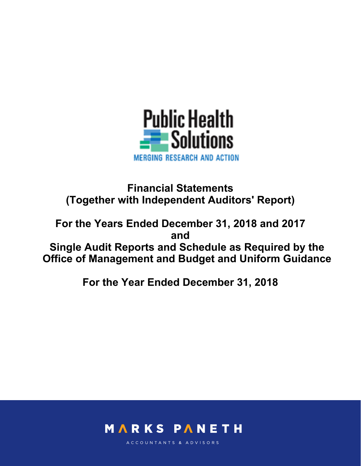

# **Financial Statements (Together with Independent Auditors' Report)**

**For the Years Ended December 31, 2018 and 2017 and Single Audit Reports and Schedule as Required by the Office of Management and Budget and Uniform Guidance** 

**For the Year Ended December 31, 2018** 



ACCOUNTANTS & ADVISORS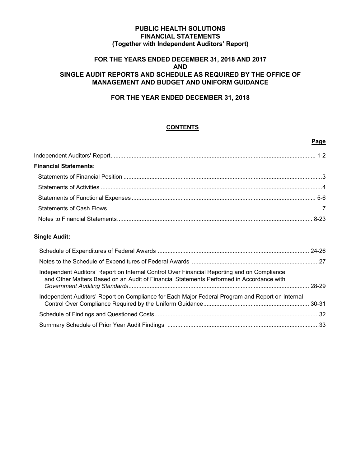# **PUBLIC HEALTH SOLUTIONS FINANCIAL STATEMENTS (Together with Independent Auditors' Report)**

# **FOR THE YEARS ENDED DECEMBER 31, 2018 AND 2017 AND SINGLE AUDIT REPORTS AND SCHEDULE AS REQUIRED BY THE OFFICE OF MANAGEMENT AND BUDGET AND UNIFORM GUIDANCE**

# **FOR THE YEAR ENDED DECEMBER 31, 2018**

# **CONTENTS**

**Page** 

| <b>Financial Statements:</b> |  |
|------------------------------|--|
|                              |  |
|                              |  |
|                              |  |
|                              |  |
|                              |  |
|                              |  |

# **Single Audit:**

| Independent Auditors' Report on Internal Control Over Financial Reporting and on Compliance<br>and Other Matters Based on an Audit of Financial Statements Performed in Accordance with |  |
|-----------------------------------------------------------------------------------------------------------------------------------------------------------------------------------------|--|
| Independent Auditors' Report on Compliance for Each Major Federal Program and Report on Internal                                                                                        |  |
|                                                                                                                                                                                         |  |
|                                                                                                                                                                                         |  |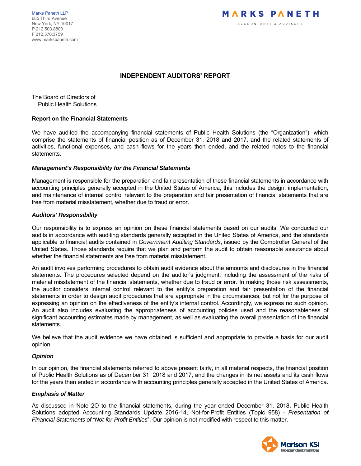Marks Paneth LLP 685 Third Avenue New York, NY 10017 P 212.503.8800 F 212.370.3759 www.markspaneth.com



# **INDEPENDENT AUDITORS' REPORT**

The Board of Directors of Public Health Solutions

#### **Report on the Financial Statements**

We have audited the accompanying financial statements of Public Health Solutions (the "Organization"), which comprise the statements of financial position as of December 31, 2018 and 2017, and the related statements of activities, functional expenses, and cash flows for the years then ended, and the related notes to the financial statements.

#### *Management's Responsibility for the Financial Statements*

Management is responsible for the preparation and fair presentation of these financial statements in accordance with accounting principles generally accepted in the United States of America; this includes the design, implementation, and maintenance of internal control relevant to the preparation and fair presentation of financial statements that are free from material misstatement, whether due to fraud or error.

#### *Auditors' Responsibility*

Our responsibility is to express an opinion on these financial statements based on our audits. We conducted our audits in accordance with auditing standards generally accepted in the United States of America, and the standards applicable to financial audits contained in *Government Auditing Standards*, issued by the Comptroller General of the United States. Those standards require that we plan and perform the audit to obtain reasonable assurance about whether the financial statements are free from material misstatement.

An audit involves performing procedures to obtain audit evidence about the amounts and disclosures in the financial statements. The procedures selected depend on the auditor's judgment, including the assessment of the risks of material misstatement of the financial statements, whether due to fraud or error. In making those risk assessments, the auditor considers internal control relevant to the entity's preparation and fair presentation of the financial statements in order to design audit procedures that are appropriate in the circumstances, but not for the purpose of expressing an opinion on the effectiveness of the entity's internal control. Accordingly, we express no such opinion. An audit also includes evaluating the appropriateness of accounting policies used and the reasonableness of significant accounting estimates made by management, as well as evaluating the overall presentation of the financial statements.

We believe that the audit evidence we have obtained is sufficient and appropriate to provide a basis for our audit opinion.

#### *Opinion*

In our opinion, the financial statements referred to above present fairly, in all material respects, the financial position of Public Health Solutions as of December 31, 2018 and 2017, and the changes in its net assets and its cash flows for the years then ended in accordance with accounting principles generally accepted in the United States of America.

#### *Emphasis of Matter*

As discussed in Note 2O to the financial statements, during the year ended December 31, 2018, Public Health Solutions adopted Accounting Standards Update 2016-14, Not-for-Profit Entities (Topic 958) - *Presentation of Financial Statements of "Not-for-Profit Entities*". Our opinion is not modified with respect to this matter.

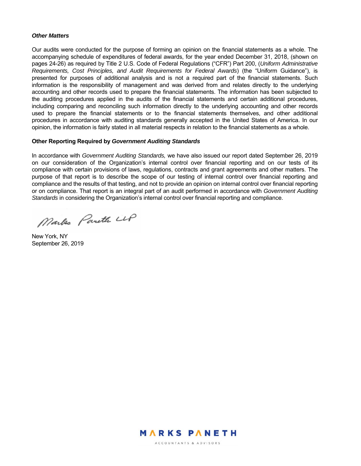#### *Other Matters*

Our audits were conducted for the purpose of forming an opinion on the financial statements as a whole. The accompanying schedule of expenditures of federal awards, for the year ended December 31, 2018, (shown on pages 24-26) as required by Title 2 U.S. Code of Federal Regulations ("CFR") Part 200, (*Uniform Administrative Requirements, Cost Principles, and Audit Requirements for Federal Awards*) (the "Uniform Guidance"), is presented for purposes of additional analysis and is not a required part of the financial statements. Such information is the responsibility of management and was derived from and relates directly to the underlying accounting and other records used to prepare the financial statements. The information has been subjected to the auditing procedures applied in the audits of the financial statements and certain additional procedures, including comparing and reconciling such information directly to the underlying accounting and other records used to prepare the financial statements or to the financial statements themselves, and other additional procedures in accordance with auditing standards generally accepted in the United States of America. In our opinion, the information is fairly stated in all material respects in relation to the financial statements as a whole.

#### **Other Reporting Required by** *Government Auditing Standards*

In accordance with *Government Auditing Standards,* we have also issued our report dated September 26, 2019 on our consideration of the Organization's internal control over financial reporting and on our tests of its compliance with certain provisions of laws, regulations, contracts and grant agreements and other matters. The purpose of that report is to describe the scope of our testing of internal control over financial reporting and compliance and the results of that testing, and not to provide an opinion on internal control over financial reporting or on compliance. That report is an integral part of an audit performed in accordance with *Government Auditing Standards* in considering the Organization's internal control over financial reporting and compliance.

Marks Pareth LLP

New York, NY September 26, 2019



ACCOUNTANTS & ADVISORS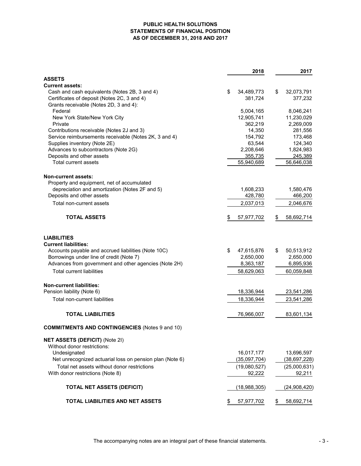#### **PUBLIC HEALTH SOLUTIONS STATEMENTS OF FINANCIAL POSITION AS OF DECEMBER 31, 2018 AND 2017**

|                                                                      |    | 2018         | 2017             |
|----------------------------------------------------------------------|----|--------------|------------------|
| <b>ASSETS</b>                                                        |    |              |                  |
| <b>Current assets:</b>                                               |    |              |                  |
| Cash and cash equivalents (Notes 2B, 3 and 4)                        | \$ | 34,489,773   | \$<br>32,073,791 |
| Certificates of deposit (Notes 2C, 3 and 4)                          |    | 381,724      | 377,232          |
| Grants receivable (Notes 2D, 3 and 4):                               |    |              |                  |
| Federal                                                              |    | 5,004,165    | 8,046,241        |
| New York State/New York City                                         |    | 12,905,741   | 11,230,029       |
| Private                                                              |    | 362,219      | 2,269,009        |
| Contributions receivable (Notes 2J and 3)                            |    | 14,350       | 281,556          |
| Service reimbursements receivable (Notes 2K, 3 and 4)                |    | 154,792      | 173,468          |
| Supplies inventory (Note 2E)                                         |    | 63,544       | 124,340          |
| Advances to subcontractors (Note 2G)                                 |    | 2,208,646    | 1,824,983        |
| Deposits and other assets                                            |    | 355,735      | 245,389          |
| Total current assets                                                 |    | 55,940,689   | 56,646,038       |
| <b>Non-current assets:</b>                                           |    |              |                  |
| Property and equipment, net of accumulated                           |    |              |                  |
| depreciation and amortization (Notes 2F and 5)                       |    | 1,608,233    | 1,580,476        |
| Deposits and other assets                                            |    | 428,780      | 466,200          |
| Total non-current assets                                             |    | 2,037,013    | 2,046,676        |
| <b>TOTAL ASSETS</b>                                                  | \$ | 57,977,702   | \$<br>58,692,714 |
| <b>LIABILITIES</b><br><b>Current liabilities:</b>                    |    |              |                  |
| Accounts payable and accrued liabilities (Note 10C)                  | \$ | 47,615,876   | \$<br>50,513,912 |
| Borrowings under line of credit (Note 7)                             |    | 2,650,000    | 2,650,000        |
| Advances from government and other agencies (Note 2H)                |    | 8,363,187    | 6,895,936        |
| <b>Total current liabilities</b>                                     |    |              |                  |
|                                                                      |    | 58,629,063   | 60,059,848       |
| <b>Non-current liabilities:</b>                                      |    |              |                  |
| Pension liability (Note 6)                                           |    | 18,336,944   | 23,541,286       |
| Total non-current liabilities                                        |    | 18,336,944   | 23,541,286       |
|                                                                      |    |              |                  |
| <b>TOTAL LIABILITIES</b>                                             |    | 76,966,007   | 83,601,134       |
| <b>COMMITMENTS AND CONTINGENCIES (Notes 9 and 10)</b>                |    |              |                  |
| <b>NET ASSETS (DEFICIT) (Note 21)</b><br>Without donor restrictions: |    |              |                  |
| Undesignated                                                         |    | 16,017,177   | 13,696,597       |
| Net unrecognized actuarial loss on pension plan (Note 6)             |    | (35,097,704) | (38, 697, 228)   |
| Total net assets without donor restrictions                          |    | (19,080,527) | (25,000,631)     |
| With donor restrictions (Note 8)                                     |    | 92,222       | 92,211           |
| <b>TOTAL NET ASSETS (DEFICIT)</b>                                    |    | (18,988,305) | (24,908,420)     |
| TOTAL LIABILITIES AND NET ASSETS                                     | S. | 57,977,702   | \$<br>58,692,714 |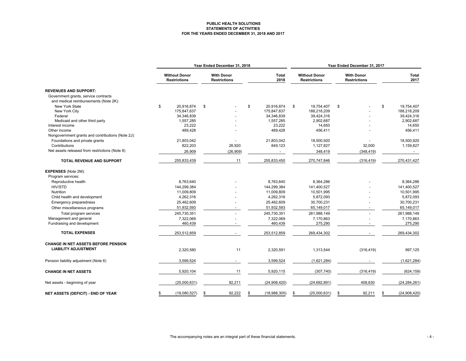#### **PUBLIC HEALTH SOLUTIONS STATEMENTS OF ACTIVITIES FOR THE YEARS ENDED DECEMBER 31, 2018 AND 2017**

|                                                   |                                             | Year Ended December 31, 2018             |                      | Year Ended December 31, 2017                |                                          |                      |  |  |  |  |  |
|---------------------------------------------------|---------------------------------------------|------------------------------------------|----------------------|---------------------------------------------|------------------------------------------|----------------------|--|--|--|--|--|
|                                                   | <b>Without Donor</b><br><b>Restrictions</b> | <b>With Donor</b><br><b>Restrictions</b> | <b>Total</b><br>2018 | <b>Without Donor</b><br><b>Restrictions</b> | <b>With Donor</b><br><b>Restrictions</b> | <b>Total</b><br>2017 |  |  |  |  |  |
| <b>REVENUES AND SUPPORT:</b>                      |                                             |                                          |                      |                                             |                                          |                      |  |  |  |  |  |
| Government grants, service contracts              |                                             |                                          |                      |                                             |                                          |                      |  |  |  |  |  |
| and medical reimbursements (Note 2K):             |                                             |                                          |                      |                                             |                                          |                      |  |  |  |  |  |
| New York State                                    | \$<br>20,916,874                            | \$                                       | \$<br>20,916,874     | \$<br>19,754,407                            | \$                                       | \$<br>19,754,407     |  |  |  |  |  |
| New York City                                     | 175,847,637                                 |                                          | 175,847,637          | 188,218,209                                 |                                          | 188,218,209          |  |  |  |  |  |
| Federal                                           | 34,346,839                                  |                                          | 34,346,839           | 39,424,316                                  |                                          | 39,424,316           |  |  |  |  |  |
| Medicaid and other third party                    | 1,557,285                                   |                                          | 1,557,285            | 2,902,687                                   |                                          | 2,902,687            |  |  |  |  |  |
| Interest income                                   | 23,222                                      |                                          | 23,222               | 14,650                                      |                                          | 14,650               |  |  |  |  |  |
| Other income                                      | 489,428                                     |                                          | 489,428              | 456,411                                     |                                          | 456,411              |  |  |  |  |  |
| Nongovernment grants and contributions (Note 2J): |                                             |                                          |                      |                                             |                                          |                      |  |  |  |  |  |
| Foundations and private grants                    | 21,803,042                                  |                                          | 21,803,042           | 18,500,920                                  |                                          | 18,500,920           |  |  |  |  |  |
| Contributions                                     | 822,203                                     | 26,920                                   | 849,123              | 1,127,827                                   | 32,000                                   | 1,159,827            |  |  |  |  |  |
| Net assets released from restrictions (Note 8)    | 26,909                                      | (26,909)                                 |                      | 348,419                                     | (348, 419)                               | $\sim$               |  |  |  |  |  |
| TOTAL REVENUE AND SUPPORT                         | 255,833,439                                 | 11                                       | 255,833,450          | 270,747,846                                 | (316, 419)                               | 270,431,427          |  |  |  |  |  |
| <b>EXPENSES</b> (Note 2M):                        |                                             |                                          |                      |                                             |                                          |                      |  |  |  |  |  |
| Program services:                                 |                                             |                                          |                      |                                             |                                          |                      |  |  |  |  |  |
| Reproductive health                               | 8.763.640                                   |                                          | 8,763,640            | 8,364,286                                   |                                          | 8.364.286            |  |  |  |  |  |
| HIV/STD                                           | 144,299,384                                 |                                          | 144,299,384          | 141,400,527                                 |                                          | 141,400,527          |  |  |  |  |  |
| Nutrition                                         | 11,009,809                                  |                                          | 11,009,809           | 10,501,995                                  |                                          | 10,501,995           |  |  |  |  |  |
| Child health and development                      | 4,262,316                                   |                                          | 4,262,316            | 5,872,093                                   |                                          | 5,872,093            |  |  |  |  |  |
| <b>Emergency preparedness</b>                     | 25,462,609                                  |                                          | 25,462,609           | 30,700,231                                  |                                          | 30,700,231           |  |  |  |  |  |
| Other miscellaneous programs                      | 51,932,593                                  |                                          | 51,932,593           | 65,149,017                                  |                                          | 65,149,017           |  |  |  |  |  |
| Total program services                            | 245,730,351                                 |                                          | 245,730,351          | 261,988,149                                 |                                          | 261,988,149          |  |  |  |  |  |
| Management and general                            | 7,322,069                                   |                                          | 7,322,069            | 7,170,863                                   |                                          | 7,170,863            |  |  |  |  |  |
| Fundraising and development                       | 460,439                                     |                                          | 460,439              | 275,290                                     |                                          | 275,290              |  |  |  |  |  |
|                                                   |                                             |                                          |                      |                                             |                                          |                      |  |  |  |  |  |
| <b>TOTAL EXPENSES</b>                             | 253,512,859                                 |                                          | 253,512,859          | 269,434,302                                 |                                          | 269,434,302          |  |  |  |  |  |
| <b>CHANGE IN NET ASSETS BEFORE PENSION</b>        |                                             |                                          |                      |                                             |                                          |                      |  |  |  |  |  |
| <b>LIABILITY ADJUSTMENT</b>                       | 2,320,580                                   | 11                                       | 2,320,591            | 1,313,544                                   | (316, 419)                               | 997,125              |  |  |  |  |  |
| Pension liability adjustment (Note 6)             | 3,599,524                                   |                                          | 3,599,524            | (1,621,284)                                 |                                          | (1,621,284)          |  |  |  |  |  |
| <b>CHANGE IN NET ASSETS</b>                       | 5,920,104                                   | 11                                       | 5,920,115            | (307,740)                                   | (316, 419)                               | (624, 159)           |  |  |  |  |  |
| Net assets - beginning of year                    | (25,000,631)                                | 92,211                                   | (24,908,420)         | (24, 692, 891)                              | 408,630                                  | (24,284,261)         |  |  |  |  |  |
| <b>NET ASSETS (DEFICIT) - END OF YEAR</b>         | (19,080,527)<br>\$                          | 92,222<br>\$                             | (18,988,305)<br>\$   | (25,000,631)<br>\$                          | 92,211<br>\$                             | (24,908,420)<br>\$   |  |  |  |  |  |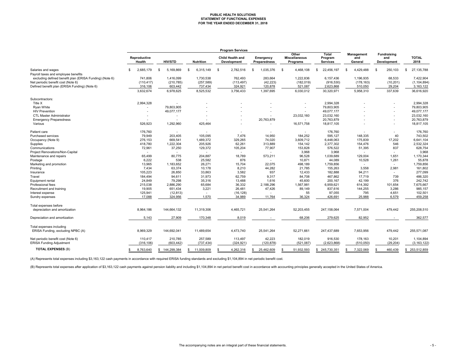#### **PUBLIC HEALTH SOLUTIONS STATEMENT OF FUNCTIONAL EXPENSES FOR THE YEAR ENDED DECEMBER 31, 2018**

|                                                         |                        |    |                |     |                  |                                 | <b>Program Services</b>  |    |                           |    |                                           |              |                                            |                              |            |    |                                          |                      |               |  |  |
|---------------------------------------------------------|------------------------|----|----------------|-----|------------------|---------------------------------|--------------------------|----|---------------------------|----|-------------------------------------------|--------------|--------------------------------------------|------------------------------|------------|----|------------------------------------------|----------------------|---------------|--|--|
|                                                         | Reproductive<br>Health |    | <b>HIV/STD</b> |     | <b>Nutrition</b> | Child Health and<br>Development |                          |    | Emergency<br>Preparedness |    | Other<br><b>Miscellaneous</b><br>Programs |              | <b>Total</b><br>Program<br><b>Services</b> | Management<br>and<br>General |            |    | <b>Fundraising</b><br>and<br>Development | <b>TOTAL</b><br>2018 |               |  |  |
| Salaries and wages                                      | \$<br>2,685,179        | S. | 5,169,869      | £.  | 6,315,149        | \$                              | 2,782,516                | s. | 1,035,376                 | \$ | 4,468,108                                 | $\mathbf{s}$ | 22,456,197                                 | \$                           | 4,429,488  | \$ | 250,103                                  | -S                   | 27,135,788    |  |  |
| Payroll taxes and employee benefits                     |                        |    |                |     |                  |                                 |                          |    |                           |    |                                           |              |                                            |                              |            |    |                                          |                      |               |  |  |
| excluding defined benefit plan (ERISA Funding) (Note 6) | 741,806                |    | 1,416,099      |     | 1,730,538        |                                 | 762,493                  |    | 283,664                   |    | 1,222,836                                 |              | 6,157,436                                  |                              | 1,196,935  |    | 68,533                                   |                      | 7,422,904     |  |  |
| Net periodic benefit cost (Note 6)                      | (110, 417)             |    | (210, 785)     |     | (257, 589)       |                                 | (113, 497)               |    | (42, 223)                 |    | (182, 019)                                |              | (916, 530)                                 |                              | (178, 163) |    | (10, 201)                                |                      | (1, 104, 894) |  |  |
| Defined benefit plan (ERISA Funding) (Note 6)           | 316,106                |    | 603,442        |     | 737,434          |                                 | 324,921                  |    | 120,878                   |    | 521,087                                   |              | 2,623,868                                  |                              | 510,050    |    | 29,204                                   |                      | 3,163,122     |  |  |
|                                                         | 3,632,674              |    | 6,978,625      |     | 8,525,532        |                                 | 3,756,433                |    | 1,397,695                 |    | 6,030,012                                 |              | 30,320,971                                 |                              | 5,958,310  |    | 337,639                                  |                      | 36,616,920    |  |  |
| Subcontractors:                                         |                        |    |                |     |                  |                                 |                          |    |                           |    |                                           |              |                                            |                              |            |    |                                          |                      |               |  |  |
| Title X                                                 | 2,994,328              |    |                |     |                  |                                 |                          |    |                           |    |                                           |              | 2,994,328                                  |                              |            |    |                                          |                      | 2,994,328     |  |  |
| Ryan White                                              |                        |    | 79,803,905     |     |                  |                                 |                          |    |                           |    |                                           |              | 79,803,905                                 |                              |            |    |                                          |                      | 79,803,905    |  |  |
| <b>HIV Prevention</b>                                   |                        |    | 49,077,177     |     |                  |                                 |                          |    |                           |    |                                           |              | 49.077.177                                 |                              |            |    |                                          |                      | 49,077,177    |  |  |
| <b>CTL Master Administrator</b>                         |                        |    | ٠              |     |                  |                                 |                          |    |                           |    | 23,032,160                                |              | 23,032,160                                 |                              |            |    |                                          |                      | 23,032,160    |  |  |
| <b>Emergency Preparedness</b>                           |                        |    |                |     |                  |                                 |                          |    | 20,763,879                |    |                                           |              | 20,763,879                                 |                              |            |    |                                          |                      | 20,763,879    |  |  |
| Various                                                 | 526,923                |    | 1,292,960      |     | 425,464          |                                 |                          |    |                           |    | 16,571,758                                |              | 18,817,105                                 |                              |            |    |                                          |                      | 18,817,105    |  |  |
| Patient care                                            | 176.760                |    | ٠              |     | $\blacksquare$   |                                 | $\overline{\phantom{a}}$ |    | $\overline{\phantom{a}}$  |    | $\overline{\phantom{a}}$                  |              | 176.760                                    |                              |            |    | $\blacksquare$                           |                      | 176,760       |  |  |
| Purchased services                                      | 79,949                 |    | 203,405        |     | 105,095          |                                 | 7,476                    |    | 14,950                    |    | 184,252                                   |              | 595,127                                    |                              | 148,335    |    | 40                                       |                      | 743,502       |  |  |
| Occupancy (Note 9)                                      | 276,153                |    | 669,541        |     | 1,489,372        |                                 | 329,265                  |    | 74,020                    |    | 3,609,712                                 |              | 6,448,063                                  |                              | 175,839    |    | 17,202                                   |                      | 6,641,104     |  |  |
| Supplies                                                | 418,780                |    | 1,222,304      |     | 205,926          |                                 | 62,261                   |    | 313,889                   |    | 154,142                                   |              | 2,377,302                                  |                              | 154,476    |    | 546                                      |                      | 2,532,324     |  |  |
| Communications                                          | 72,961                 |    | 37,250         |     | 129,372          |                                 | 105,204                  |    | 77,907                    |    | 153,828                                   |              | 576,522                                    |                              | 51,395     |    | 837                                      |                      | 628,754       |  |  |
| Project Renovations/Non-Capital                         |                        |    |                |     |                  |                                 |                          |    |                           |    | 3,968                                     |              | 3,968                                      |                              |            |    |                                          |                      | 3,968         |  |  |
| Maintenance and repairs                                 | 65,499                 |    | 80,775         |     | 204,887          |                                 | 18,789                   |    | 573,211                   |    | 96,528                                    |              | 1,039,689                                  |                              | 129,004    |    | 1,651                                    |                      | 1,170,344     |  |  |
| Postage                                                 | 6,222                  |    | 538            |     | 25,582           |                                 | 876                      |    | $\overline{\phantom{a}}$  |    | 10,871                                    |              | 44,089                                     |                              | 10,528     |    | 1,261                                    |                      | 55,878        |  |  |
| Marketing and promotion                                 | 13,965                 |    | 1,183,652      |     | 26,271           |                                 | 15,704                   |    | 22,075                    |    | 498,189                                   |              | 1,759,856                                  |                              |            |    | $\sim$                                   |                      | 1,759,856     |  |  |
| Printing                                                | 7,434                  |    | 63,374         |     | 10,178           |                                 | 8,210                    |    | 44,282                    |    | 21,785                                    |              | 155,263                                    |                              | 3,558      |    | 2,981                                    |                      | 161,802       |  |  |
| Insurance                                               | 105,223                |    | 26,850         |     | 33,863           |                                 | 3,582                    |    | 937                       |    | 12,433                                    |              | 182,888                                    |                              | 94,211     |    | $\sim$                                   |                      | 277,099       |  |  |
| Travel                                                  | 184,494                |    | 94,611         |     | 31,973           |                                 | 62,759                   |    | 9,317                     |    | 84,708                                    |              | 467,862                                    |                              | 17,719     |    | 739                                      |                      | 486,320       |  |  |
| Equipment rental                                        | 24,849                 |    | 79,298         |     | 35,316           |                                 | 13,488                   |    | 1,616                     |    | 45,600                                    |              | 200,167                                    |                              | 42,199     |    | 376                                      |                      | 242,742       |  |  |
| Professional fees                                       | 215,038                |    | 2,886,290      |     | 65,684           |                                 | 36,332                   |    | 2,188,296                 |    | 1,567,981                                 |              | 6,959,621                                  |                              | 614,392    |    | 101,654                                  |                      | 7,675,667     |  |  |
| Recruitment and training                                | 19,905                 |    | 651,434        |     | 3,221            |                                 | 26,481                   |    | 47,426                    |    | 89,149                                    |              | 837,616                                    |                              | 144,255    |    | 3,286                                    |                      | 985,157       |  |  |
| Interest expense                                        | 125,941                |    | (12, 813)      |     |                  |                                 | (16, 128)                |    |                           |    | 55                                        |              | 97,055                                     |                              | 795        |    | 4,651                                    |                      | 102,501       |  |  |
| Sundry expenses                                         | 17,088                 |    | 324,956        |     | 1,570            |                                 | 34,989                   |    | 11,764                    |    | 36,324                                    |              | 426,691                                    |                              | 25,988     |    | 6,579                                    |                      | 459,258       |  |  |
| Total expenses before                                   |                        |    |                |     |                  |                                 |                          |    |                           |    |                                           |              |                                            |                              |            |    |                                          |                      |               |  |  |
| depreciation and amortization                           | 8,964,186              |    | 144,664,132    |     | 11,319,306       |                                 | 4,465,721                |    | 25,541,264                |    | 52,203,455                                |              | 247,158,064                                |                              | 7,571,004  |    | 479,442                                  |                      | 255,208,510   |  |  |
| Depreciation and amortization                           | 5,143                  |    | 27,909         |     | 170,348          |                                 | 8,019                    |    |                           |    | 68,206                                    |              | 279,625                                    |                              | 82,952     |    |                                          |                      | 362,577       |  |  |
| Total expenses including                                |                        |    |                |     |                  |                                 |                          |    |                           |    |                                           |              |                                            |                              |            |    |                                          |                      |               |  |  |
| ERISA Funding, excluding NPBC (A)                       | 8,969,329              |    | 144,692,041    |     | 11,489,654       |                                 | 4,473,740                |    | 25,541,264                |    | 52,271,661                                |              | 247,437,689                                |                              | 7,653,956  |    | 479,442                                  |                      | 255,571,087   |  |  |
| Net periodic benefit cost (Note 6)                      | 110,417                |    | 210,785        |     | 257,589          |                                 | 113,497                  |    | 42,223                    |    | 182,019                                   |              | 916,530                                    |                              | 178,163    |    | 10,201                                   |                      | 1,104,894     |  |  |
| <b>ERISA Funding Adjustment</b>                         | (316, 106)             |    | (603, 442)     |     | (737, 434)       |                                 | (324, 921)               |    | (120, 878)                |    | (521,087)                                 |              | (2,623,868)                                |                              | (510, 050) |    | (29, 204)                                |                      | (3, 163, 122) |  |  |
| <b>TOTAL EXPENSES (B)</b>                               | \$<br>8,763,640        |    | \$144,299,384  | -96 | 11,009,809       | \$                              | 4,262,316                | S  | 25,462,609                | £. | 51,932,593                                |              | \$ 245,730,351                             | \$                           | 7,322,069  |    | 460,439                                  |                      | \$253,512,859 |  |  |

(A) Represents total expenses including \$3,163,122 cash payments in accordance with required ERISA funding standards and excluding \$1,104,894 in net periodic benefit cost.

(B) Represents total expenses after application of \$3,163,122 cash payments against pension liability and including \$1,104,894 in net period benefit cost in accordance with accounting principles generally accepted in the U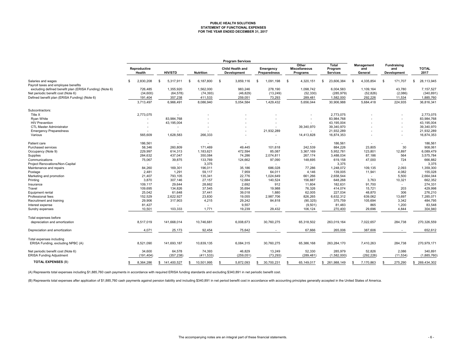#### **PUBLIC HEALTH SOLUTIONS STATEMENT OF FUNCTIONAL EXPENSES FOR THE YEAR ENDED DECEMBER 31, 2017**

|                                                                                               | <b>Program Services</b> |                        |    |                      |    |                      |    |                                 |                    |                           |                |                                           |          |                                     |    |                              |    |                                          |     |                         |
|-----------------------------------------------------------------------------------------------|-------------------------|------------------------|----|----------------------|----|----------------------|----|---------------------------------|--------------------|---------------------------|----------------|-------------------------------------------|----------|-------------------------------------|----|------------------------------|----|------------------------------------------|-----|-------------------------|
|                                                                                               |                         | Reproductive<br>Health |    | <b>HIV/STD</b>       |    | <b>Nutrition</b>     |    | Child Health and<br>Development |                    | Emergency<br>Preparedness |                | Other<br><b>Miscellaneous</b><br>Programs |          | Total<br>Program<br><b>Services</b> |    | Management<br>and<br>General |    | <b>Fundraising</b><br>and<br>Development |     | <b>TOTAL</b><br>2017    |
| Salaries and wages                                                                            | S                       | 2,830,208              | \$ | 5,317,911            | \$ | 6,187,800            | \$ | 3,859,116                       | $\mathbf{\hat{z}}$ | 1,091,198                 | $\mathfrak{s}$ | 4,320,151                                 | <b>S</b> | 23,606,384                          | \$ | 4,335,854                    | -S | 171,707                                  | \$. | 28,113,945              |
| Payroll taxes and employee benefits                                                           |                         |                        |    |                      |    |                      |    |                                 |                    |                           |                |                                           |          |                                     |    |                              |    |                                          |     |                         |
| excluding defined benefit plan (ERISA Funding) (Note 6)<br>Net periodic benefit cost (Note 6) |                         | 726,485                |    | 1,355,920            |    | 1,562,000            |    | 983,246                         |                    | 278,190                   |                | 1,098,742                                 |          | 6,004,583                           |    | 1,109,164                    |    | 43,780                                   |     | 7,157,527               |
| Defined benefit plan (ERISA Funding) (Note 6)                                                 |                         | (34,600)               |    | (64, 578)<br>357,238 |    | (74, 393)<br>411,533 |    | (46, 829)<br>259,051            |                    | (13, 249)<br>73,293       |                | (52, 330)<br>289,481                      |          | (285, 979)<br>1,582,000             |    | (52, 826)<br>292,226         |    | (2,086)<br>11,534                        |     | (340, 891)<br>1,885,760 |
|                                                                                               |                         | 191,404<br>3,713,497   |    | 6,966,491            |    | 8,086,940            |    | 5,054,584                       |                    | 1,429,432                 |                | 5,656,044                                 |          | 30,906,988                          |    | 5,684,418                    |    | 224,935                                  |     | 36,816,341              |
| Subcontractors:                                                                               |                         |                        |    |                      |    |                      |    |                                 |                    |                           |                |                                           |          |                                     |    |                              |    |                                          |     |                         |
| Title X                                                                                       |                         | 2,773,075              |    |                      |    |                      |    |                                 |                    |                           |                |                                           |          | 2,773,075                           |    |                              |    |                                          |     | 2,773,075               |
| Ryan White                                                                                    |                         |                        |    | 83,984,768           |    |                      |    |                                 |                    |                           |                |                                           |          | 83,984,768                          |    |                              |    |                                          |     | 83,984,768              |
| <b>HIV Prevention</b>                                                                         |                         |                        |    | 43,195,004           |    |                      |    |                                 |                    |                           |                |                                           |          | 43,195,004                          |    |                              |    |                                          |     | 43,195,004              |
| <b>CTL Master Administrator</b>                                                               |                         |                        |    |                      |    |                      |    |                                 |                    |                           |                | 39,340,970                                |          | 39,340,970                          |    |                              |    |                                          |     | 39,340,970              |
| <b>Emergency Preparedness</b>                                                                 |                         |                        |    |                      |    |                      |    |                                 |                    | 21,932,289                |                |                                           |          | 21,932,289                          |    |                              |    |                                          |     | 21,932,289              |
| Various                                                                                       |                         | 565,609                |    | 1,628,583            |    | 266,333              |    |                                 |                    |                           |                | 14,413,828                                |          | 16,874,353                          |    |                              |    |                                          |     | 16,874,353              |
| Patient care                                                                                  |                         | 186,561                |    |                      |    |                      |    |                                 |                    |                           |                |                                           |          | 186,561                             |    |                              |    | $\overline{\phantom{a}}$                 |     | 186,561                 |
| Purchased services                                                                            |                         | 58,346                 |    | 260,809              |    | 171,469              |    | 49,445                          |                    | 101,618                   |                | 242,539                                   |          | 884,226                             |    | 23,805                       |    | 30                                       |     | 908,061                 |
| Occupancy (Note 9)                                                                            |                         | 229,997                |    | 614,313              |    | 1,183,621            |    | 472,594                         |                    | 85,087                    |                | 3,367,169                                 |          | 5,952,781                           |    | 123,801                      |    | 12,897                                   |     | 6,089,479               |
| Supplies                                                                                      |                         | 284,632                |    | 437,047              |    | 350,084              |    | 74,286                          |                    | 2,074,811                 |                | 267,174                                   |          | 3,488,034                           |    | 87,186                       |    | 564                                      |     | 3,575,784               |
| Communications                                                                                |                         | 75,067                 |    | 39,875               |    | 133,769              |    | 124,662                         |                    | 97,090                    |                | 148,695                                   |          | 619,158                             |    | 47,000                       |    | 724                                      |     | 666,882                 |
| Project Renovations/Non-Capital                                                               |                         |                        |    |                      |    | 3,375                |    |                                 |                    |                           |                |                                           |          | 3,375                               |    |                              |    |                                          |     | 3,375                   |
| Maintenance and repairs                                                                       |                         | 84,260                 |    | 169,301              |    | 196,011              |    | 35,186                          |                    | 686,028                   |                | 77,286                                    |          | 1,248,072                           |    | 109,135                      |    | 2,093                                    |     | 1,359,300               |
| Postage                                                                                       |                         | 2,481                  |    | 1,291                |    | 59,117               |    | 7,959                           |                    | 64,011                    |                | 4,146                                     |          | 139,005                             |    | 11,941                       |    | 4,082                                    |     | 155,028                 |
| Marketing and promotion                                                                       |                         | 21,407                 |    | 793,105              |    | 135,341              |    | 22,776                          |                    | 1,024,649                 |                | 661,266                                   |          | 2,658,544                           |    |                              |    | 5,500                                    |     | 2,664,044               |
| Printing                                                                                      |                         | 3,870                  |    | 307,146              |    | 27,157               |    | 12,684                          |                    | 140,524                   |                | 156,887                                   |          | 648,268                             |    | 3,763                        |    | 10,321                                   |     | 662,352                 |
| Insurance                                                                                     |                         | 109,117                |    | 29,644               |    | 28.662               |    | 2.692                           |                    | 912                       |                | 11,604                                    |          | 182.631                             |    | 91,700                       |    | $\sim$                                   |     | 274,331                 |
| Travel                                                                                        |                         | 109,695                |    | 134,826              |    | 37,545               |    | 35,694                          |                    | 19,988                    |                | 76,326                                    |          | 414,074                             |    | 15,721                       |    | 203                                      |     | 429,998                 |
| Equipment rental                                                                              |                         | 25,042                 |    | 61,648               |    | 37,441               |    | 39,018                          |                    | 1,880                     |                | 62,005                                    |          | 227,034                             |    | 48,870                       |    | 306                                      |     | 276,210                 |
| Professional fees                                                                             |                         | 152,529                |    | 2,622,927            |    | 23,830               |    | 19,055                          |                    | 2,987,706                 |                | 826,265                                   |          | 6,632,312                           |    | 639,062                      |    | 13,697                                   |     | 7,285,071               |
| Recruitment and training                                                                      |                         | 29,906                 |    | 317,903              |    | 4,215                |    | 29,242                          |                    | 84,818                    |                | (90, 325)                                 |          | 375,759                             |    | 105,694                      |    | 3,342                                    |     | 484,795                 |
| Interest expense                                                                              |                         | 81,427                 |    |                      |    |                      |    | 9,557                           |                    |                           |                | (9,501)                                   |          | 81,483                              |    | 865                          |    | 1,200                                    |     | 83,548                  |
| Sundry expenses                                                                               |                         | 10,501                 |    | 103,333              |    | 1,771                |    | 19.239                          |                    | 29,432                    |                | 106,124                                   |          | 270,400                             |    | 29,696                       |    | 4,844                                    |     | 304,940                 |
| Total expenses before                                                                         |                         |                        |    |                      |    |                      |    |                                 |                    |                           |                |                                           |          |                                     |    |                              |    |                                          |     |                         |
| depreciation and amortization                                                                 |                         | 8,517,019              |    | 141,668,014          |    | 10,746,681           |    | 6,008,673                       |                    | 30,760,275                |                | 65,318,502                                |          | 263,019,164                         |    | 7,022,657                    |    | 284,738                                  |     | 270,326,559             |
| Depreciation and amortization                                                                 |                         | 4,071                  |    | 25,173               |    | 92,454               |    | 75,642                          |                    |                           |                | 67,666                                    |          | 265,006                             |    | 387,606                      |    |                                          |     | 652,612                 |
| Total expenses including                                                                      |                         |                        |    |                      |    |                      |    |                                 |                    |                           |                |                                           |          |                                     |    |                              |    |                                          |     |                         |
| ERISA Funding, excluding NPBC (A)                                                             |                         | 8,521,090              |    | 141,693,187          |    | 10,839,135           |    | 6,084,315                       |                    | 30,760,275                |                | 65,386,168                                |          | 263,284,170                         |    | 7,410,263                    |    | 284,738                                  |     | 270,979,171             |
| Net periodic benefit cost (Note 6)                                                            |                         | 34,600                 |    | 64,578               |    | 74,393               |    | 46,829                          |                    | 13,249                    |                | 52,330                                    |          | 285,979                             |    | 52,826                       |    | 2,086                                    |     | 340,891                 |
| <b>ERISA Funding Adjustment</b>                                                               |                         | (191, 404)             |    | (357, 238)           |    | (411, 533)           |    | (259, 051)                      |                    | (73, 293)                 |                | (289, 481)                                |          | (1,582,000)                         |    | (292, 226)                   |    | (11, 534)                                |     | (1,885,760)             |
| <b>TOTAL EXPENSES (B)</b>                                                                     |                         | 8,364,286              |    | \$141,400,527        | \$ | 10,501,995           | \$ | 5,872,093                       |                    | 30,700,231                |                | 65,149,017                                |          | \$ 261,988,149                      |    | 7,170,863                    |    | 275,290                                  |     | \$ 269,434,302          |

(A) Represents total expenses including \$1,885,760 cash payments in accordance with required ERISA funding standards and excluding \$340,891 in net periodic benefit cost.

(B) Represents total expenses after application of \$1,885,760 cash payments against pension liability and including \$340,891 in net period benefit cost in accordance with accounting principles generally accepted in the Uni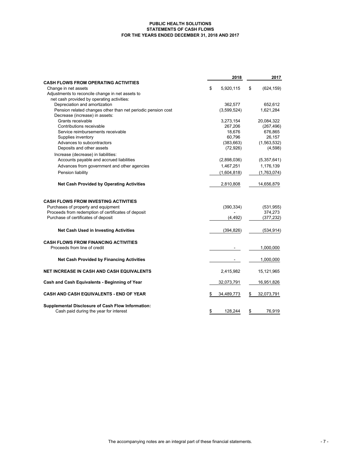#### **PUBLIC HEALTH SOLUTIONS STATEMENTS OF CASH FLOWS FOR THE YEARS ENDED DECEMBER 31, 2018 AND 2017**

|                                                                                                | 2018             | 2017             |
|------------------------------------------------------------------------------------------------|------------------|------------------|
| <b>CASH FLOWS FROM OPERATING ACTIVITIES</b>                                                    |                  |                  |
| Change in net assets                                                                           | \$<br>5,920,115  | \$<br>(624, 159) |
| Adjustments to reconcile change in net assets to                                               |                  |                  |
| net cash provided by operating activities:                                                     |                  |                  |
| Depreciation and amortization                                                                  | 362,577          | 652,612          |
| Pension related changes other than net periodic pension cost<br>Decrease (increase) in assets: | (3,599,524)      | 1,621,284        |
| Grants receivable                                                                              | 3,273,154        | 20,084,322       |
| Contributions receivable                                                                       | 267,206          | (267, 496)       |
| Service reimbursements receivable                                                              | 18,676           | 676,865          |
| Supplies inventory                                                                             | 60,796           | 26,157           |
| Advances to subcontractors                                                                     | (383, 663)       | (1,563,532)      |
| Deposits and other assets                                                                      | (72, 926)        | (4,598)          |
| Increase (decrease) in liabilities:                                                            |                  |                  |
| Accounts payable and accrued liabilities                                                       | (2,898,036)      | (5,357,641)      |
| Advances from government and other agencies                                                    | 1,467,251        | 1,176,139        |
| Pension liability                                                                              | (1,604,818)      | (1,763,074)      |
| <b>Net Cash Provided by Operating Activities</b>                                               | 2,810,808        | 14,656,879       |
| <b>CASH FLOWS FROM INVESTING ACTIVITIES</b>                                                    |                  |                  |
| Purchases of property and equipment                                                            | (390, 334)       | (531, 955)       |
| Proceeds from redemption of certificates of deposit                                            |                  | 374,273          |
| Purchase of certificates of deposit                                                            | (4, 492)         | (377, 232)       |
| <b>Net Cash Used in Investing Activities</b>                                                   | (394, 826)       | (534, 914)       |
| <b>CASH FLOWS FROM FINANCING ACTIVITIES</b>                                                    |                  |                  |
| Proceeds from line of credit                                                                   |                  | 1,000,000        |
| <b>Net Cash Provided by Financing Activities</b>                                               |                  | 1,000,000        |
| <b>NET INCREASE IN CASH AND CASH EQUIVALENTS</b>                                               | 2,415,982        | 15,121,965       |
| Cash and Cash Equivalents - Beginning of Year                                                  | 32,073,791       | 16,951,826       |
| CASH AND CASH EQUIVALENTS - END OF YEAR                                                        | \$<br>34,489,773 | \$<br>32,073,791 |
| Supplemental Disclosure of Cash Flow Information:<br>Cash paid during the year for interest    | \$<br>128,244    | \$<br>76,919     |
|                                                                                                |                  |                  |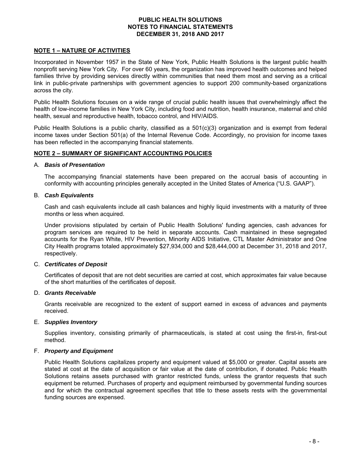# **NOTE 1 – NATURE OF ACTIVITIES**

Incorporated in November 1957 in the State of New York, Public Health Solutions is the largest public health nonprofit serving New York City. For over 60 years, the organization has improved health outcomes and helped families thrive by providing services directly within communities that need them most and serving as a critical link in public-private partnerships with government agencies to support 200 community-based organizations across the city.

Public Health Solutions focuses on a wide range of crucial public health issues that overwhelmingly affect the health of low-income families in New York City, including food and nutrition, health insurance, maternal and child health, sexual and reproductive health, tobacco control, and HIV/AIDS.

Public Health Solutions is a public charity, classified as a 501(c)(3) organization and is exempt from federal income taxes under Section 501(a) of the Internal Revenue Code. Accordingly, no provision for income taxes has been reflected in the accompanying financial statements.

# **NOTE 2 – SUMMARY OF SIGNIFICANT ACCOUNTING POLICIES**

#### A. *Basis of Presentation*

The accompanying financial statements have been prepared on the accrual basis of accounting in conformity with accounting principles generally accepted in the United States of America ("U.S. GAAP").

#### B. *Cash Equivalents*

Cash and cash equivalents include all cash balances and highly liquid investments with a maturity of three months or less when acquired.

Under provisions stipulated by certain of Public Health Solutions' funding agencies, cash advances for program services are required to be held in separate accounts. Cash maintained in these segregated accounts for the Ryan White, HIV Prevention, Minority AIDS Initiative, CTL Master Administrator and One City Health programs totaled approximately \$27,934,000 and \$28,444,000 at December 31, 2018 and 2017, respectively.

#### C. *Certificates of Deposit*

Certificates of deposit that are not debt securities are carried at cost, which approximates fair value because of the short maturities of the certificates of deposit.

#### D. *Grants Receivable*

Grants receivable are recognized to the extent of support earned in excess of advances and payments received.

#### E. *Supplies Inventory*

Supplies inventory, consisting primarily of pharmaceuticals, is stated at cost using the first-in, first-out method.

#### F. *Property and Equipment*

Public Health Solutions capitalizes property and equipment valued at \$5,000 or greater. Capital assets are stated at cost at the date of acquisition or fair value at the date of contribution, if donated. Public Health Solutions retains assets purchased with grantor restricted funds, unless the grantor requests that such equipment be returned. Purchases of property and equipment reimbursed by governmental funding sources and for which the contractual agreement specifies that title to these assets rests with the governmental funding sources are expensed.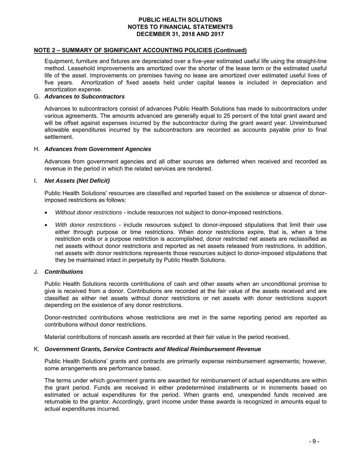# **NOTE 2 – SUMMARY OF SIGNIFICANT ACCOUNTING POLICIES (Continued)**

Equipment, furniture and fixtures are depreciated over a five-year estimated useful life using the straight-line method. Leasehold improvements are amortized over the shorter of the lease term or the estimated useful life of the asset. Improvements on premises having no lease are amortized over estimated useful lives of five years. Amortization of fixed assets held under capital leases is included in depreciation and amortization expense.

#### G. *Advances to Subcontractors*

Advances to subcontractors consist of advances Public Health Solutions has made to subcontractors under various agreements. The amounts advanced are generally equal to 25 percent of the total grant award and will be offset against expenses incurred by the subcontractor during the grant award year. Unreimbursed allowable expenditures incurred by the subcontractors are recorded as accounts payable prior to final settlement.

#### H. *Advances from Government Agencies*

Advances from government agencies and all other sources are deferred when received and recorded as revenue in the period in which the related services are rendered.

#### I. *Net Assets (Net Deficit)*

Public Health Solutions' resources are classified and reported based on the existence or absence of donorimposed restrictions as follows:

- *Without donor restrictions* include resources not subject to donor-imposed restrictions.
- *With donor restrictions* include resources subject to donor-imposed stipulations that limit their use either through purpose or time restrictions. When donor restrictions expire, that is, when a time restriction ends or a purpose restriction is accomplished, donor restricted net assets are reclassified as net assets without donor restrictions and reported as net assets released from restrictions. In addition, net assets with donor restrictions represents those resources subject to donor-imposed stipulations that they be maintained intact in perpetuity by Public Health Solutions.

# J. *Contributions*

Public Health Solutions records contributions of cash and other assets when an unconditional promise to give is received from a donor. Contributions are recorded at the fair value of the assets received and are classified as either net assets without donor restrictions or net assets with donor restrictions support depending on the existence of any donor restrictions.

Donor-restricted contributions whose restrictions are met in the same reporting period are reported as contributions without donor restrictions.

Material contributions of noncash assets are recorded at their fair value in the period received.

#### K. *Government Grants, Service Contracts and Medical Reimbursement Revenue*

Public Health Solutions' grants and contracts are primarily expense reimbursement agreements; however, some arrangements are performance based.

The terms under which government grants are awarded for reimbursement of actual expenditures are within the grant period. Funds are received in either predetermined installments or in increments based on estimated or actual expenditures for the period. When grants end, unexpended funds received are returnable to the grantor. Accordingly, grant income under these awards is recognized in amounts equal to actual expenditures incurred.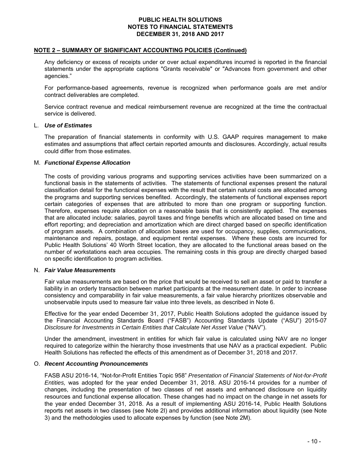#### **NOTE 2 – SUMMARY OF SIGNIFICANT ACCOUNTING POLICIES (Continued)**

Any deficiency or excess of receipts under or over actual expenditures incurred is reported in the financial statements under the appropriate captions "Grants receivable" or "Advances from government and other agencies."

For performance-based agreements, revenue is recognized when performance goals are met and/or contract deliverables are completed.

Service contract revenue and medical reimbursement revenue are recognized at the time the contractual service is delivered.

#### L. *Use of Estimates*

The preparation of financial statements in conformity with U.S. GAAP requires management to make estimates and assumptions that affect certain reported amounts and disclosures. Accordingly, actual results could differ from those estimates.

#### M. *Functional Expense Allocation*

The costs of providing various programs and supporting services activities have been summarized on a functional basis in the statements of activities. The statements of functional expenses present the natural classification detail for the functional expenses with the result that certain natural costs are allocated among the programs and supporting services benefited. Accordingly, the statements of functional expenses report certain categories of expenses that are attributed to more than one program or supporting function. Therefore, expenses require allocation on a reasonable basis that is consistently applied. The expenses that are allocated include: salaries, payroll taxes and fringe benefits which are allocated based on time and effort reporting; and depreciation and amortization which are direct charged based on specific identification of program assets. A combination of allocation bases are used for occupancy, supplies, communications, maintenance and repairs, postage, and equipment rental expenses. Where these costs are incurred for Public Health Solutions' 40 Worth Street location, they are allocated to the functional areas based on the number of workstations each area occupies. The remaining costs in this group are directly charged based on specific identification to program activities.

#### N. *Fair Value Measurements*

Fair value measurements are based on the price that would be received to sell an asset or paid to transfer a liability in an orderly transaction between market participants at the measurement date. In order to increase consistency and comparability in fair value measurements, a fair value hierarchy prioritizes observable and unobservable inputs used to measure fair value into three levels, as described in Note 6.

Effective for the year ended December 31, 2017, Public Health Solutions adopted the guidance issued by the Financial Accounting Standards Board ("FASB") Accounting Standards Update ("ASU") 2015-07 *Disclosure for Investments in Certain Entities that Calculate Net Asset Value ("NAV").* 

Under the amendment, investment in entities for which fair value is calculated using NAV are no longer required to categorize within the hierarchy those investments that use NAV as a practical expedient. Public Health Solutions has reflected the effects of this amendment as of December 31, 2018 and 2017.

#### O. *Recent Accounting Pronouncements*

FASB ASU 2016-14, "Not-for-Profit Entities Topic 958" *Presentation of Financial Statements of Not-for-Profit Entities,* was adopted for the year ended December 31, 2018. ASU 2016-14 provides for a number of changes, including the presentation of two classes of net assets and enhanced disclosure on liquidity resources and functional expense allocation. These changes had no impact on the change in net assets for the year ended December 31, 2018. As a result of implementing ASU 2016-14, Public Health Solutions reports net assets in two classes (see Note 2I) and provides additional information about liquidity (see Note 3) and the methodologies used to allocate expenses by function (see Note 2M).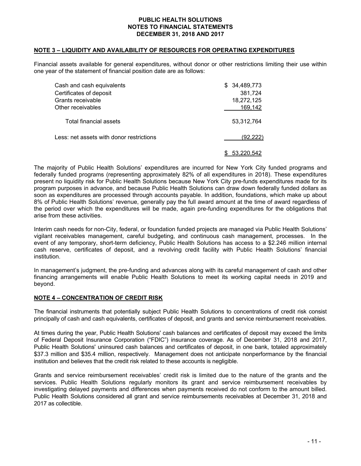### **NOTE 3 – LIQUIDITY AND AVAILABILITY OF RESOURCES FOR OPERATING EXPENDITURES**

Financial assets available for general expenditures, without donor or other restrictions limiting their use within one year of the statement of financial position date are as follows:

| Cash and cash equivalents                | \$34,489,773 |
|------------------------------------------|--------------|
| Certificates of deposit                  | 381,724      |
| Grants receivable                        | 18,272,125   |
| Other receivables                        | 169,142      |
| Total financial assets                   | 53,312,764   |
| Less: net assets with donor restrictions | (92, 222)    |
|                                          | 53,220,542   |

The majority of Public Health Solutions' expenditures are incurred for New York City funded programs and federally funded programs (representing approximately 82% of all expenditures in 2018). These expenditures present no liquidity risk for Public Health Solutions because New York City pre-funds expenditures made for its program purposes in advance, and because Public Health Solutions can draw down federally funded dollars as soon as expenditures are processed through accounts payable. In addition, foundations, which make up about 8% of Public Health Solutions' revenue, generally pay the full award amount at the time of award regardless of the period over which the expenditures will be made, again pre-funding expenditures for the obligations that arise from these activities.

Interim cash needs for non-City, federal, or foundation funded projects are managed via Public Health Solutions' vigilant receivables management, careful budgeting, and continuous cash management, processes. In the event of any temporary, short-term deficiency, Public Health Solutions has access to a \$2.246 million internal cash reserve, certificates of deposit, and a revolving credit facility with Public Health Solutions' financial institution.

In management's judgment, the pre-funding and advances along with its careful management of cash and other financing arrangements will enable Public Health Solutions to meet its working capital needs in 2019 and beyond.

# **NOTE 4 – CONCENTRATION OF CREDIT RISK**

The financial instruments that potentially subject Public Health Solutions to concentrations of credit risk consist principally of cash and cash equivalents, certificates of deposit, and grants and service reimbursement receivables.

At times during the year, Public Health Solutions' cash balances and certificates of deposit may exceed the limits of Federal Deposit Insurance Corporation ("FDIC") insurance coverage. As of December 31, 2018 and 2017, Public Health Solutions' uninsured cash balances and certificates of deposit, in one bank, totaled approximately \$37.3 million and \$35.4 million, respectively. Management does not anticipate nonperformance by the financial institution and believes that the credit risk related to these accounts is negligible.

Grants and service reimbursement receivables' credit risk is limited due to the nature of the grants and the services. Public Health Solutions regularly monitors its grant and service reimbursement receivables by investigating delayed payments and differences when payments received do not conform to the amount billed. Public Health Solutions considered all grant and service reimbursements receivables at December 31, 2018 and 2017 as collectible.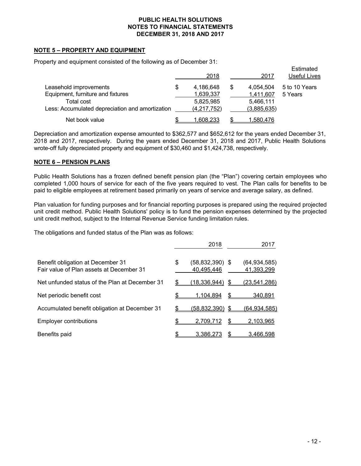# **NOTE 5 – PROPERTY AND EQUIPMENT**

Property and equipment consisted of the following as of December 31:

|                                                 | 2018            |    | 2017             | Estimated<br>Useful Lives |
|-------------------------------------------------|-----------------|----|------------------|---------------------------|
| Leasehold improvements                          | \$<br>4,186,648 | \$ | 4.054.504        | 5 to 10 Years             |
| Equipment, furniture and fixtures               | 1,639,337       |    | 1,411,607        | 5 Years                   |
| Total cost                                      | 5,825,985       |    | 5,466,111        |                           |
| Less: Accumulated depreciation and amortization | (4,217,752)     |    | (3,885,635)      |                           |
| Net book value                                  | 1,608,233       | S  | <u>1,580,476</u> |                           |

Depreciation and amortization expense amounted to \$362,577 and \$652,612 for the years ended December 31, 2018 and 2017, respectively. During the years ended December 31, 2018 and 2017, Public Health Solutions wrote-off fully depreciated property and equipment of \$30,460 and \$1,424,738, respectively.

# **NOTE 6 – PENSION PLANS**

Public Health Solutions has a frozen defined benefit pension plan (the "Plan") covering certain employees who completed 1,000 hours of service for each of the five years required to vest. The Plan calls for benefits to be paid to eligible employees at retirement based primarily on years of service and average salary, as defined.

Plan valuation for funding purposes and for financial reporting purposes is prepared using the required projected unit credit method. Public Health Solutions' policy is to fund the pension expenses determined by the projected unit credit method, subject to the Internal Revenue Service funding limitation rules.

The obligations and funded status of the Plan was as follows:

|                                                                               | 2018 |                                 |    | 2017                         |
|-------------------------------------------------------------------------------|------|---------------------------------|----|------------------------------|
| Benefit obligation at December 31<br>Fair value of Plan assets at December 31 | \$   | $(58,832,390)$ \$<br>40,495,446 |    | (64, 934, 585)<br>41,393,299 |
| Net unfunded status of the Plan at December 31                                |      | (18,336,944)                    | S  | <u>(23,541,286)</u>          |
| Net periodic benefit cost                                                     |      | <u>1,104,894</u>                | \$ | 340,891                      |
| Accumulated benefit obligation at December 31                                 |      | <u>(58,832,390) \$</u>          |    | <u>(64,934,585)</u>          |
| <b>Employer contributions</b>                                                 |      | 2,709,712                       | S. | 2,103,965                    |
| Benefits paid                                                                 |      | 3.386.273                       |    | 3.466.598                    |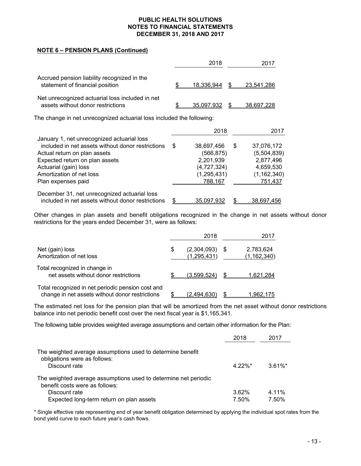# **NOTE 6 – PENSION PLANS (Continued)**

|                                                                                      | 2018              | 2017       |
|--------------------------------------------------------------------------------------|-------------------|------------|
| Accrued pension liability recognized in the<br>statement of financial position       | <u>18,336,944</u> | 23,541,286 |
| Net unrecognized actuarial loss included in net<br>assets without donor restrictions | 35.097.932        | 38.697.228 |

The change in net unrecognized actuarial loss included the following:

|                                                   |   | 2018          |   | 2017          |
|---------------------------------------------------|---|---------------|---|---------------|
| January 1, net unrecognized actuarial loss        |   |               |   |               |
| included in net assets without donor restrictions | S | 38,697,456    | S | 37,076,172    |
| Actual return on plan assets                      |   | (566, 875)    |   | (5,504,839)   |
| Expected return on plan assets                    |   | 2,201,939     |   | 2,877,496     |
| Actuarial (gain) loss                             |   | (4,727,324)   |   | 4,659,530     |
| Amortization of net loss                          |   | (1, 295, 431) |   | (1, 162, 340) |
| Plan expenses paid                                |   | 788,167       |   | 751,437       |
| December 31, net unrecognized actuarial loss      |   |               |   |               |
| included in net assets without donor restrictions |   | 35,097,932    |   | 38.697.456    |

Other changes in plan assets and benefit obligations recognized in the change in net assets without donor restrictions for the years ended December 31, were as follows:

|                                                                                                      | 2018 |                              | 2017                       |
|------------------------------------------------------------------------------------------------------|------|------------------------------|----------------------------|
| Net (gain) loss<br>Amortization of net loss                                                          | \$   | (2,304,093)<br>(1, 295, 431) | 2,783,624<br>(1, 162, 340) |
| Total recognized in change in<br>net assets without donor restrictions                               |      | (3,599,524)                  | l.621.284                  |
| Total recognized in net periodic pension cost and<br>change in net assets without donor restrictions |      | (2,494,630)                  | 1.962.175                  |

The estimated net loss for the pension plan that will be amortized from the net asset without donor restrictions balance into net periodic benefit cost over the next fiscal year is \$1,165,341.

The following table provides weighted average assumptions and certain other information for the Plan:

|                                                                                                   | 2018       | 2017       |
|---------------------------------------------------------------------------------------------------|------------|------------|
| The weighted average assumptions used to determine benefit<br>obligations were as follows:        |            |            |
| Discount rate                                                                                     | $4.22\%$ * | $3.61\%$ * |
| The weighted average assumptions used to determine net periodic<br>benefit costs were as follows: |            |            |
| Discount rate                                                                                     | 3.62%      | 4.11%      |
| Expected long-term return on plan assets                                                          | 7.50%      | 7.50%      |

\* Single effective rate representing end of year benefit obligation determined by applying the individual spot rates from the bond yield curve to each future year's cash flows.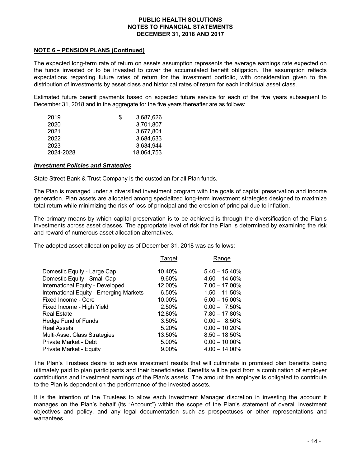# **NOTE 6 – PENSION PLANS (Continued)**

The expected long-term rate of return on assets assumption represents the average earnings rate expected on the funds invested or to be invested to cover the accumulated benefit obligation. The assumption reflects expectations regarding future rates of return for the investment portfolio, with consideration given to the distribution of investments by asset class and historical rates of return for each individual asset class.

Estimated future benefit payments based on expected future service for each of the five years subsequent to December 31, 2018 and in the aggregate for the five years thereafter are as follows:

| 2019      | S | 3,687,626  |
|-----------|---|------------|
| 2020      |   | 3,701,807  |
| 2021      |   | 3,677,801  |
| 2022      |   | 3,684,633  |
| 2023      |   | 3,634,944  |
| 2024-2028 |   | 18,064,753 |

#### *Investment Policies and Strategies*

State Street Bank & Trust Company is the custodian for all Plan funds.

The Plan is managed under a diversified investment program with the goals of capital preservation and income generation. Plan assets are allocated among specialized long-term investment strategies designed to maximize total return while minimizing the risk of loss of principal and the erosion of principal due to inflation.

The primary means by which capital preservation is to be achieved is through the diversification of the Plan's investments across asset classes. The appropriate level of risk for the Plan is determined by examining the risk and reward of numerous asset allocation alternatives.

The adopted asset allocation policy as of December 31, 2018 was as follows:

|                                         | Target   | Range            |
|-----------------------------------------|----------|------------------|
| Domestic Equity - Large Cap             | 10.40%   | $5.40 - 15.40\%$ |
| Domestic Equity - Small Cap             | 9.60%    | $4.60 - 14.60\%$ |
| International Equity - Developed        | 12.00%   | $7.00 - 17.00\%$ |
| International Equity - Emerging Markets | 6.50%    | $1.50 - 11.50\%$ |
| Fixed Income - Core                     | 10.00%   | $5.00 - 15.00\%$ |
| Fixed Income - High Yield               | 2.50%    | $0.00 - 7.50\%$  |
| <b>Real Estate</b>                      | 12.80%   | $7.80 - 17.80\%$ |
| Hedge Fund of Funds                     | 3.50%    | $0.00 - 8.50\%$  |
| <b>Real Assets</b>                      | 5.20%    | $0.00 - 10.20\%$ |
| Multi-Asset Class Strategies            | 13.50%   | $8.50 - 18.50\%$ |
| Private Market - Debt                   | 5.00%    | $0.00 - 10.00\%$ |
| Private Market - Equity                 | $9.00\%$ | $4.00 - 14.00\%$ |

The Plan's Trustees desire to achieve investment results that will culminate in promised plan benefits being ultimately paid to plan participants and their beneficiaries. Benefits will be paid from a combination of employer contributions and investment earnings of the Plan's assets. The amount the employer is obligated to contribute to the Plan is dependent on the performance of the invested assets.

It is the intention of the Trustees to allow each Investment Manager discretion in investing the account it manages on the Plan's behalf (its "Account") within the scope of the Plan's statement of overall investment objectives and policy, and any legal documentation such as prospectuses or other representations and warrantees.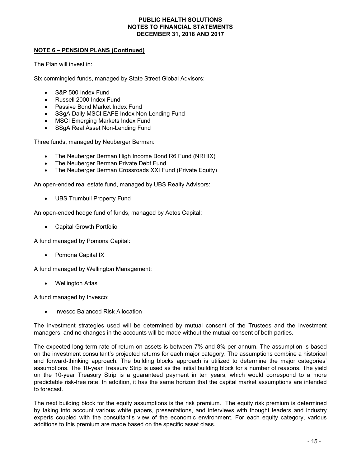# **NOTE 6 – PENSION PLANS (Continued)**

The Plan will invest in:

Six commingled funds, managed by State Street Global Advisors:

- S&P 500 Index Fund
- Russell 2000 Index Fund
- Passive Bond Market Index Fund
- SSgA Daily MSCI EAFE Index Non-Lending Fund
- MSCI Emerging Markets Index Fund
- SSgA Real Asset Non-Lending Fund

Three funds, managed by Neuberger Berman:

- The Neuberger Berman High Income Bond R6 Fund (NRHIX)
- The Neuberger Berman Private Debt Fund
- The Neuberger Berman Crossroads XXI Fund (Private Equity)

An open-ended real estate fund, managed by UBS Realty Advisors:

UBS Trumbull Property Fund

An open-ended hedge fund of funds, managed by Aetos Capital:

Capital Growth Portfolio

A fund managed by Pomona Capital:

• Pomona Capital IX

A fund managed by Wellington Management:

• Wellington Atlas

A fund managed by Invesco:

Invesco Balanced Risk Allocation

The investment strategies used will be determined by mutual consent of the Trustees and the investment managers, and no changes in the accounts will be made without the mutual consent of both parties.

The expected long-term rate of return on assets is between 7% and 8% per annum. The assumption is based on the investment consultant's projected returns for each major category. The assumptions combine a historical and forward-thinking approach. The building blocks approach is utilized to determine the major categories' assumptions. The 10-year Treasury Strip is used as the initial building block for a number of reasons. The yield on the 10-year Treasury Strip is a guaranteed payment in ten years, which would correspond to a more predictable risk-free rate. In addition, it has the same horizon that the capital market assumptions are intended to forecast.

The next building block for the equity assumptions is the risk premium. The equity risk premium is determined by taking into account various white papers, presentations, and interviews with thought leaders and industry experts coupled with the consultant's view of the economic environment. For each equity category, various additions to this premium are made based on the specific asset class.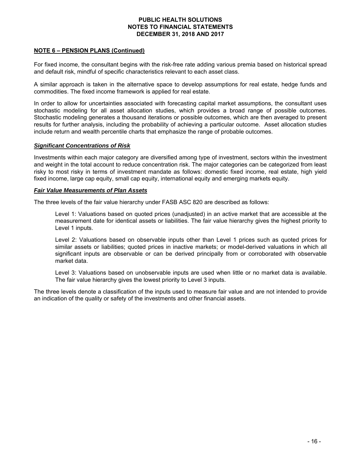# **NOTE 6 – PENSION PLANS (Continued)**

For fixed income, the consultant begins with the risk-free rate adding various premia based on historical spread and default risk, mindful of specific characteristics relevant to each asset class.

A similar approach is taken in the alternative space to develop assumptions for real estate, hedge funds and commodities. The fixed income framework is applied for real estate.

In order to allow for uncertainties associated with forecasting capital market assumptions, the consultant uses stochastic modeling for all asset allocation studies, which provides a broad range of possible outcomes. Stochastic modeling generates a thousand iterations or possible outcomes, which are then averaged to present results for further analysis, including the probability of achieving a particular outcome. Asset allocation studies include return and wealth percentile charts that emphasize the range of probable outcomes.

# *Significant Concentrations of Risk*

Investments within each major category are diversified among type of investment, sectors within the investment and weight in the total account to reduce concentration risk. The major categories can be categorized from least risky to most risky in terms of investment mandate as follows: domestic fixed income, real estate, high yield fixed income, large cap equity, small cap equity, international equity and emerging markets equity.

#### *Fair Value Measurements of Plan Assets*

The three levels of the fair value hierarchy under FASB ASC 820 are described as follows:

Level 1: Valuations based on quoted prices (unadjusted) in an active market that are accessible at the measurement date for identical assets or liabilities. The fair value hierarchy gives the highest priority to Level 1 inputs.

Level 2: Valuations based on observable inputs other than Level 1 prices such as quoted prices for similar assets or liabilities; quoted prices in inactive markets; or model-derived valuations in which all significant inputs are observable or can be derived principally from or corroborated with observable market data.

Level 3: Valuations based on unobservable inputs are used when little or no market data is available. The fair value hierarchy gives the lowest priority to Level 3 inputs.

The three levels denote a classification of the inputs used to measure fair value and are not intended to provide an indication of the quality or safety of the investments and other financial assets.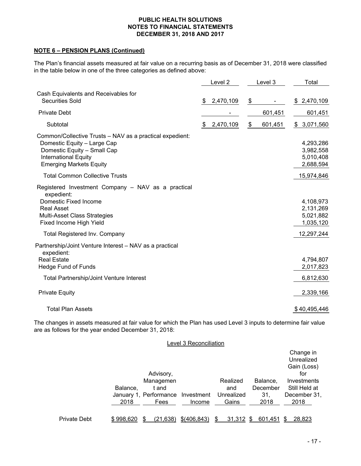# **NOTE 6 – PENSION PLANS (Continued)**

The Plan's financial assets measured at fair value on a recurring basis as of December 31, 2018 were classified in the table below in one of the three categories as defined above:

|                                                                                                                                                                                  | Level 2 |           | Level 3 |         | Total |                                                  |
|----------------------------------------------------------------------------------------------------------------------------------------------------------------------------------|---------|-----------|---------|---------|-------|--------------------------------------------------|
| Cash Equivalents and Receivables for<br><b>Securities Sold</b>                                                                                                                   | \$      | 2,470,109 | \$      |         | \$    | 2,470,109                                        |
| <b>Private Debt</b>                                                                                                                                                              |         |           |         | 601,451 |       | 601,451                                          |
| Subtotal                                                                                                                                                                         | \$      | 2,470,109 | \$      | 601,451 |       | \$3,071,560                                      |
| Common/Collective Trusts - NAV as a practical expedient:<br>Domestic Equity - Large Cap<br>Domestic Equity - Small Cap<br>International Equity<br><b>Emerging Markets Equity</b> |         |           |         |         |       | 4,293,286<br>3,982,558<br>5,010,408<br>2,688,594 |
| <b>Total Common Collective Trusts</b>                                                                                                                                            |         |           |         |         |       | 15,974,846                                       |
| Registered Investment Company - NAV as a practical<br>expedient:<br>Domestic Fixed Income<br><b>Real Asset</b><br>Multi-Asset Class Strategies<br>Fixed Income High Yield        |         |           |         |         |       | 4,108,973<br>2,131,269<br>5,021,882<br>1,035,120 |
| <b>Total Registered Inv. Company</b>                                                                                                                                             |         |           |         |         |       | 12,297,244                                       |
| Partnership/Joint Venture Interest - NAV as a practical<br>expedient:<br><b>Real Estate</b><br>Hedge Fund of Funds                                                               |         |           |         |         |       | 4,794,807<br>2,017,823                           |
| Total Partnership/Joint Venture Interest                                                                                                                                         |         |           |         |         |       | 6,812,630                                        |
| <b>Private Equity</b>                                                                                                                                                            |         |           |         |         |       | 2,339,166                                        |
| <b>Total Plan Assets</b>                                                                                                                                                         |         |           |         |         |       | \$40,495,446                                     |

The changes in assets measured at fair value for which the Plan has used Level 3 inputs to determine fair value are as follows for the year ended December 31, 2018:

| Level 3 Reconciliation |                  |                                                                 |               |                                        |                                     |                                                      |  |
|------------------------|------------------|-----------------------------------------------------------------|---------------|----------------------------------------|-------------------------------------|------------------------------------------------------|--|
|                        |                  | Advisory,                                                       |               |                                        |                                     | Change in<br>Unrealized<br>Gain (Loss)<br>for        |  |
|                        | Balance,<br>2018 | Managemen<br>t and<br>January 1, Performance Investment<br>Fees | Income        | Realized<br>and<br>Unrealized<br>Gains | Balance,<br>December<br>31.<br>2018 | Investments<br>Still Held at<br>December 31,<br>2018 |  |
| <b>Private Debt</b>    | \$998.620        | <u>(21,638)</u>                                                 | $$$ (406,843) | 31,312                                 | 601,451                             | <u>28,823</u><br>£.                                  |  |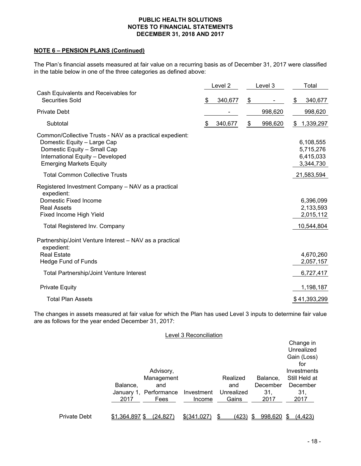# **NOTE 6 – PENSION PLANS (Continued)**

The Plan's financial assets measured at fair value on a recurring basis as of December 31, 2017 were classified in the table below in one of the three categories as defined above:

|                                                                                                                                                                                              |    | Level <sub>2</sub> | Level 3 |         | Total |                                                  |
|----------------------------------------------------------------------------------------------------------------------------------------------------------------------------------------------|----|--------------------|---------|---------|-------|--------------------------------------------------|
| Cash Equivalents and Receivables for<br><b>Securities Sold</b>                                                                                                                               | \$ | 340,677            | \$      |         | \$    | 340,677                                          |
| <b>Private Debt</b>                                                                                                                                                                          |    |                    |         | 998,620 |       | 998,620                                          |
| Subtotal                                                                                                                                                                                     | \$ | 340,677            | \$      | 998,620 | \$    | 1,339,297                                        |
| Common/Collective Trusts - NAV as a practical expedient:<br>Domestic Equity - Large Cap<br>Domestic Equity - Small Cap<br>International Equity - Developed<br><b>Emerging Markets Equity</b> |    |                    |         |         |       | 6,108,555<br>5,715,276<br>6,415,033<br>3,344,730 |
| <b>Total Common Collective Trusts</b>                                                                                                                                                        |    |                    |         |         |       | 21,583,594                                       |
| Registered Investment Company - NAV as a practical<br>expedient:<br>Domestic Fixed Income<br><b>Real Assets</b><br>Fixed Income High Yield                                                   |    |                    |         |         |       | 6,396,099<br>2,133,593<br>2,015,112              |
| <b>Total Registered Inv. Company</b>                                                                                                                                                         |    |                    |         |         |       | 10,544,804                                       |
| Partnership/Joint Venture Interest - NAV as a practical<br>expedient:                                                                                                                        |    |                    |         |         |       |                                                  |
| <b>Real Estate</b>                                                                                                                                                                           |    |                    |         |         |       | 4,670,260                                        |
| Hedge Fund of Funds                                                                                                                                                                          |    |                    |         |         |       | 2,057,157                                        |
| <b>Total Partnership/Joint Venture Interest</b>                                                                                                                                              |    |                    |         |         |       | 6,727,417                                        |
| <b>Private Equity</b>                                                                                                                                                                        |    |                    |         |         |       | 1,198,187                                        |
| <b>Total Plan Assets</b>                                                                                                                                                                     |    |                    |         |         |       | \$41,393,299                                     |

The changes in assets measured at fair value for which the Plan has used Level 3 inputs to determine fair value are as follows for the year ended December 31, 2017:

| Level 3 Reconciliation |                       |                        |            |             |          |                                                              |  |
|------------------------|-----------------------|------------------------|------------|-------------|----------|--------------------------------------------------------------|--|
|                        |                       | Advisory,              |            |             |          | Change in<br>Unrealized<br>Gain (Loss)<br>for<br>Investments |  |
|                        |                       | Management             |            | Realized    | Balance. | Still Held at                                                |  |
|                        | Balance,              | and                    |            | and         | December | December                                                     |  |
|                        |                       | January 1, Performance | Investment | Unrealized  | 31,      | 31,                                                          |  |
|                        | 2017                  | Fees                   | Income     | Gains       | 2017     | 2017                                                         |  |
| <b>Private Debt</b>    | <u>\$1,364,897 \$</u> | <u>(24,827</u>         | \$(341,027 | (423)<br>S. | 998,620  | (4, 423)                                                     |  |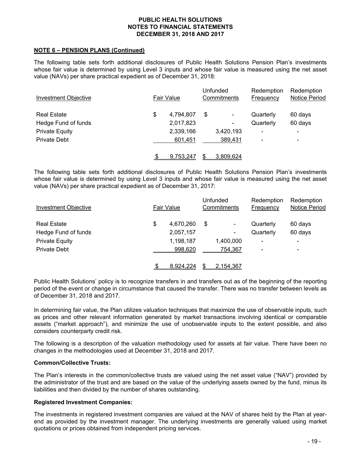# **NOTE 6 – PENSION PLANS (Continued)**

The following table sets forth additional disclosures of Public Health Solutions Pension Plan's investments whose fair value is determined by using Level 3 inputs and whose fair value is measured using the net asset value (NAVs) per share practical expedient as of December 31, 2018:

| Investment Objective  | <b>Fair Value</b> | Unfunded<br>Commitments | Redemption<br>Frequency  | Redemption<br>Notice Period |
|-----------------------|-------------------|-------------------------|--------------------------|-----------------------------|
| <b>Real Estate</b>    | \$<br>4,794,807   | \$<br>$\blacksquare$    | Quarterly                | 60 days                     |
| Hedge Fund of funds   | 2,017,823         | $\blacksquare$          | Quarterly                | 60 days                     |
| <b>Private Equity</b> | 2,339,166         | 3,420,193               | -                        | ۰                           |
| <b>Private Debt</b>   | 601,451           | 389,431                 | $\overline{\phantom{a}}$ | ۰                           |
|                       | 9.753.247         | 3,809,624               |                          |                             |

The following table sets forth additional disclosures of Public Health Solutions Pension Plan's investments whose fair value is determined by using Level 3 inputs and whose fair value is measured using the net asset value (NAVs) per share practical expedient as of December 31, 2017:

| Investment Objective  | <b>Fair Value</b> | Unfunded<br>Commitments  | Redemption<br>Frequency  | Redemption<br>Notice Period |
|-----------------------|-------------------|--------------------------|--------------------------|-----------------------------|
| <b>Real Estate</b>    | \$<br>4,670,260   | \$<br>۰.                 | Quarterly                | 60 days                     |
| Hedge Fund of funds   | 2,057,157         | $\overline{\phantom{a}}$ | Quarterly                | 60 days                     |
| <b>Private Equity</b> | 1,198,187         | 1,400,000                | $\overline{\phantom{0}}$ | $\blacksquare$              |
| <b>Private Debt</b>   | 998,620           | 754,367                  | -                        | $\blacksquare$              |
|                       |                   |                          |                          |                             |
|                       | 8.924.224         | 2.154.367                |                          |                             |

Public Health Solutions' policy is to recognize transfers in and transfers out as of the beginning of the reporting period of the event or change in circumstance that caused the transfer. There was no transfer between levels as of December 31, 2018 and 2017.

In determining fair value, the Plan utilizes valuation techniques that maximize the use of observable inputs, such as prices and other relevant information generated by market transactions involving identical or comparable assets ("market approach"), and minimize the use of unobservable inputs to the extent possible, and also considers counterparty credit risk.

The following is a description of the valuation methodology used for assets at fair value. There have been no changes in the methodologies used at December 31, 2018 and 2017.

## **Common/Collective Trusts:**

The Plan's interests in the common/collective trusts are valued using the net asset value ("NAV") provided by the administrator of the trust and are based on the value of the underlying assets owned by the fund, minus its liabilities and then divided by the number of shares outstanding.

#### **Registered Investment Companies:**

The investments in registered investment companies are valued at the NAV of shares held by the Plan at yearend as provided by the investment manager. The underlying investments are generally valued using market quotations or prices obtained from independent pricing services.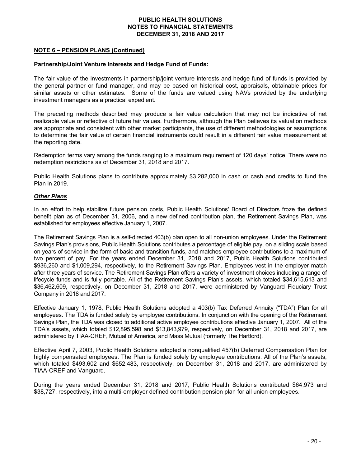# **NOTE 6 – PENSION PLANS (Continued)**

#### **Partnership/Joint Venture Interests and Hedge Fund of Funds:**

The fair value of the investments in partnership/joint venture interests and hedge fund of funds is provided by the general partner or fund manager, and may be based on historical cost, appraisals, obtainable prices for similar assets or other estimates. Some of the funds are valued using NAVs provided by the underlying investment managers as a practical expedient.

The preceding methods described may produce a fair value calculation that may not be indicative of net realizable value or reflective of future fair values. Furthermore, although the Plan believes its valuation methods are appropriate and consistent with other market participants, the use of different methodologies or assumptions to determine the fair value of certain financial instruments could result in a different fair value measurement at the reporting date.

Redemption terms vary among the funds ranging to a maximum requirement of 120 days' notice. There were no redemption restrictions as of December 31, 2018 and 2017.

Public Health Solutions plans to contribute approximately \$3,282,000 in cash or cash and credits to fund the Plan in 2019.

#### *Other Plans*

In an effort to help stabilize future pension costs, Public Health Solutions' Board of Directors froze the defined benefit plan as of December 31, 2006, and a new defined contribution plan, the Retirement Savings Plan, was established for employees effective January 1, 2007.

The Retirement Savings Plan is a self-directed 403(b) plan open to all non-union employees. Under the Retirement Savings Plan's provisions, Public Health Solutions contributes a percentage of eligible pay, on a sliding scale based on years of service in the form of basic and transition funds, and matches employee contributions to a maximum of two percent of pay. For the years ended December 31, 2018 and 2017, Public Health Solutions contributed \$936,260 and \$1,009,294, respectively, to the Retirement Savings Plan. Employees vest in the employer match after three years of service. The Retirement Savings Plan offers a variety of investment choices including a range of lifecycle funds and is fully portable. All of the Retirement Savings Plan's assets, which totaled \$34,615,613 and \$36,462,609, respectively, on December 31, 2018 and 2017, were administered by Vanguard Fiduciary Trust Company in 2018 and 2017.

Effective January 1, 1978, Public Health Solutions adopted a 403(b) Tax Deferred Annuity ("TDA") Plan for all employees. The TDA is funded solely by employee contributions. In conjunction with the opening of the Retirement Savings Plan, the TDA was closed to additional active employee contributions effective January 1, 2007. All of the TDA's assets, which totaled \$12,895,598 and \$13,843,979, respectively, on December 31, 2018 and 2017, are administered by TIAA-CREF, Mutual of America, and Mass Mutual (formerly The Hartford).

Effective April 7, 2003, Public Health Solutions adopted a nonqualified 457(b) Deferred Compensation Plan for highly compensated employees. The Plan is funded solely by employee contributions. All of the Plan's assets, which totaled \$493,602 and \$652,483, respectively, on December 31, 2018 and 2017, are administered by TIAA-CREF and Vanguard.

During the years ended December 31, 2018 and 2017, Public Health Solutions contributed \$64,973 and \$38,727, respectively, into a multi-employer defined contribution pension plan for all union employees.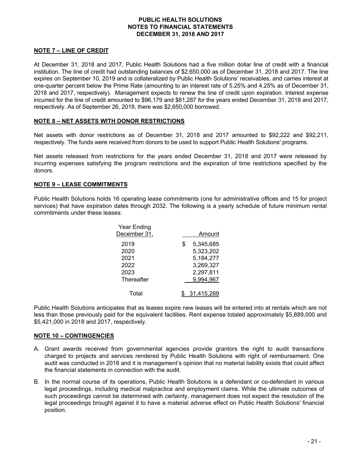# **NOTE 7 – LINE OF CREDIT**

At December 31, 2018 and 2017, Public Health Solutions had a five million dollar line of credit with a financial institution. The line of credit had outstanding balances of \$2,650,000 as of December 31, 2018 and 2017. The line expires on September 10, 2019 and is collateralized by Public Health Solutions' receivables, and carries interest at one-quarter percent below the Prime Rate (amounting to an interest rate of 5.25% and 4.25% as of December 31, 2018 and 2017, respectively). Management expects to renew the line of credit upon expiration. Interest expense incurred for the line of credit amounted to \$96,179 and \$81,287 for the years ended December 31, 2018 and 2017, respectively. As of September 26, 2019, there was \$2,650,000 borrowed.

# **NOTE 8 – NET ASSETS WITH DONOR RESTRICTIONS**

Net assets with donor restrictions as of December 31, 2018 and 2017 amounted to \$92,222 and \$92,211, respectively. The funds were received from donors to be used to support Public Health Solutions' programs.

Net assets released from restrictions for the years ended December 31, 2018 and 2017 were released by incurring expenses satisfying the program restrictions and the expiration of time restrictions specified by the donors.

# **NOTE 9 – LEASE COMMITMENTS**

Public Health Solutions holds 16 operating lease commitments (one for administrative offices and 15 for project services) that have expiration dates through 2032. The following is a yearly schedule of future minimum rental commitments under these leases:

| Year Ending       |                 |
|-------------------|-----------------|
| December 31,      | Amount          |
| 2019              | 5,345,685<br>\$ |
| 2020              | 5,323,202       |
| 2021              | 5,184,277       |
| 2022              | 3,269,327       |
| 2023              | 2,297,811       |
| <b>Thereafter</b> | 9.994,967       |
| Total             | 31,415,269      |

Public Health Solutions anticipates that as leases expire new leases will be entered into at rentals which are not less than those previously paid for the equivalent facilities. Rent expense totaled approximately \$5,889,000 and \$5,421,000 in 2018 and 2017, respectively.

# **NOTE 10 – CONTINGENCIES**

- A. Grant awards received from governmental agencies provide grantors the right to audit transactions charged to projects and services rendered by Public Health Solutions with right of reimbursement. One audit was conducted in 2018 and it is management's opinion that no material liability exists that could affect the financial statements in connection with the audit.
- B. In the normal course of its operations, Public Health Solutions is a defendant or co-defendant in various legal proceedings, including medical malpractice and employment claims. While the ultimate outcomes of such proceedings cannot be determined with certainty, management does not expect the resolution of the legal proceedings brought against it to have a material adverse effect on Public Health Solutions' financial position.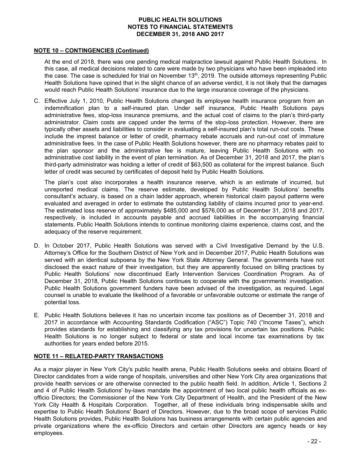# **NOTE 10 – CONTINGENCIES (Continued)**

At the end of 2018, there was one pending medical malpractice lawsuit against Public Health Solutions. In this case, all medical decisions related to care were made by two physicians who have been impleaded into the case. The case is scheduled for trial on November  $13<sup>th</sup>$ , 2019. The outside attorneys representing Public Health Solutions have opined that in the slight chance of an adverse verdict, it is not likely that the damages would reach Public Health Solutions' insurance due to the large insurance coverage of the physicians.

C. Effective July 1, 2010, Public Health Solutions changed its employee health insurance program from an indemnification plan to a self-insured plan. Under self insurance, Public Health Solutions pays administrative fees, stop-loss insurance premiums, and the actual cost of claims to the plan's third-party administrator. Claim costs are capped under the terms of the stop-loss protection. However, there are typically other assets and liabilities to consider in evaluating a self-insured plan's total run-out costs. These include the imprest balance or letter of credit, pharmacy rebate accruals and run-out cost of immature administrative fees. In the case of Public Health Solutions however, there are no pharmacy rebates paid to the plan sponsor and the administrative fee is mature, leaving Public Health Solutions with no administrative cost liability in the event of plan termination. As of December 31, 2018 and 2017, the plan's third-party administrator was holding a letter of credit of \$63,500 as collateral for the imprest balance. Such letter of credit was secured by certificates of deposit held by Public Health Solutions.

The plan's cost also incorporates a health insurance reserve, which is an estimate of incurred, but unreported medical claims. The reserve estimate, developed by Public Health Solutions' benefits consultant's actuary, is based on a chain ladder approach, wherein historical claim payout patterns were evaluated and averaged in order to estimate the outstanding liability of claims incurred prior to year-end. The estimated loss reserve of approximately \$485,000 and \$576,000 as of December 31, 2018 and 2017, respectively, is included in accounts payable and accrued liabilities in the accompanying financial statements. Public Health Solutions intends to continue monitoring claims experience, claims cost, and the adequacy of the reserve requirement.

- D. In October 2017, Public Health Solutions was served with a Civil Investigative Demand by the U.S. Attorney's Office for the Southern District of New York and in December 2017, Public Health Solutions was served with an identical subpoena by the New York State Attorney General. The governments have not disclosed the exact nature of their investigation, but they are apparently focused on billing practices by Public Health Solutions' now discontinued Early Intervention Services Coordination Program. As of December 31, 2018, Public Health Solutions continues to cooperate with the governments' investigation. Public Health Solutions government funders have been advised of the investigation, as required. Legal counsel is unable to evaluate the likelihood of a favorable or unfavorable outcome or estimate the range of potential loss.
- E. Public Health Solutions believes it has no uncertain income tax positions as of December 31, 2018 and 2017 in accordance with Accounting Standards Codification ("ASC") Topic 740 ("Income Taxes"), which provides standards for establishing and classifying any tax provisions for uncertain tax positions. Public Health Solutions is no longer subject to federal or state and local income tax examinations by tax authorities for years ended before 2015.

# **NOTE 11 – RELATED-PARTY TRANSACTIONS**

As a major player in New York City's public health arena, Public Health Solutions seeks and obtains Board of Director candidates from a wide range of hospitals, universities and other New York City area organizations that provide health services or are otherwise connected to the public health field. In addition, Article 1, Sections 2 and 4 of Public Health Solutions' by-laws mandate the appointment of two local public health officials as exofficio Directors; the Commissioner of the New York City Department of Health, and the President of the New York City Health & Hospitals Corporation. Together, all of these individuals bring indispensable skills and expertise to Public Health Solutions' Board of Directors. However, due to the broad scope of services Public Health Solutions provides, Public Health Solutions has business arrangements with certain public agencies and private organizations where the ex-officio Directors and certain other Directors are agency heads or key employees.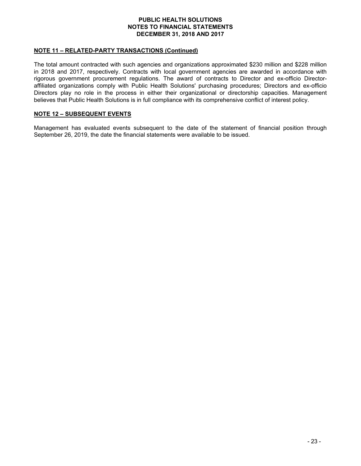# **NOTE 11 – RELATED-PARTY TRANSACTIONS (Continued)**

The total amount contracted with such agencies and organizations approximated \$230 million and \$228 million in 2018 and 2017, respectively. Contracts with local government agencies are awarded in accordance with rigorous government procurement regulations. The award of contracts to Director and ex-officio Directoraffiliated organizations comply with Public Health Solutions' purchasing procedures; Directors and ex-officio Directors play no role in the process in either their organizational or directorship capacities. Management believes that Public Health Solutions is in full compliance with its comprehensive conflict of interest policy.

#### **NOTE 12 – SUBSEQUENT EVENTS**

Management has evaluated events subsequent to the date of the statement of financial position through September 26, 2019, the date the financial statements were available to be issued.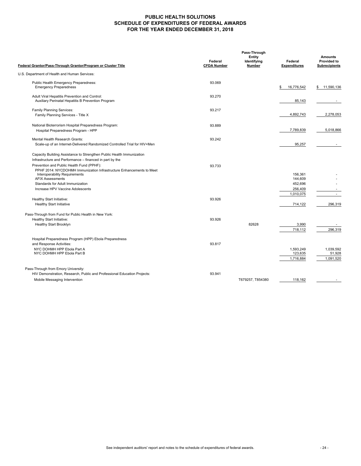#### **PUBLIC HEALTH SOLUTIONS SCHEDULE OF EXPENDITURES OF FEDERAL AWARDS FOR THE YEAR ENDED DECEMBER 31, 2018**

| Federal Grantor/Pass-Through Grantor/Program or Cluster Title                                                                                                                 | Federal<br><b>CFDA Number</b> | Pass-Through<br><b>Entity</b><br>Identifying<br><b>Number</b> | Federal<br><b>Expenditures</b>    | <b>Amounts</b><br>Provided to<br><b>Subrecipients</b> |
|-------------------------------------------------------------------------------------------------------------------------------------------------------------------------------|-------------------------------|---------------------------------------------------------------|-----------------------------------|-------------------------------------------------------|
| U.S. Department of Health and Human Services:                                                                                                                                 |                               |                                                               |                                   |                                                       |
| Public Health Emergency Preparedness:<br><b>Emergency Preparedness</b>                                                                                                        | 93.069                        |                                                               | 16,776,542<br>\$                  | \$ 11,590,136                                         |
| Adult Viral Hepatitis Prevention and Control:<br>Auxiliary Perinatal Hepatitis B Prevention Program                                                                           | 93.270                        |                                                               | 85,143                            |                                                       |
| Family Planning Services:<br>Family Planning Services - Title X                                                                                                               | 93.217                        |                                                               | 4,892,743                         | 2,278,053                                             |
| National Bioterrorism Hospital Preparedness Program:<br>Hospital Preparedness Program - HPP                                                                                   | 93.889                        |                                                               | 7,789,839                         | 5,018,866                                             |
| Mental Health Research Grants:<br>Scale-up of an Internet-Delivered Randomized Controlled Trial for HIV+Men                                                                   | 93.242                        |                                                               | 95,257                            |                                                       |
| Capacity Building Assistance to Strengthen Public Health Immunization<br>Infrastructure and Performance - financed in part by the                                             |                               |                                                               |                                   |                                                       |
| Prevention and Public Health Fund (PPHF):<br>PPHF 2014: NYCDOHMH Immunization Infrastructure Enhancements to Meet<br>Interoperability Requirements<br><b>AFIX Assessments</b> | 93.733                        |                                                               | 156.361<br>144,609                |                                                       |
| Standards for Adult Immunization<br>Increase HPV Vaccine Adolescents                                                                                                          |                               |                                                               | 452.696<br>256,409<br>1,010,075   | $\sim$                                                |
| Healthy Start Initiative:<br><b>Healthy Start Initiative</b>                                                                                                                  | 93.926                        |                                                               | 714,122                           | 296,319                                               |
| Pass-Through from Fund for Public Health in New York:<br>Healthy Start Initiative:<br>Healthy Start Brooklyn                                                                  | 93.926                        | 82628                                                         | 3,990<br>718,112                  | 296.319                                               |
| Hospital Preparedness Program (HPP) Ebola Preparedness<br>and Response Activities:                                                                                            | 93.817                        |                                                               |                                   |                                                       |
| NYC DOHMH HPP Ebola Part A<br>NYC DOHMH HPP Ebola Part B                                                                                                                      |                               |                                                               | 1,593,249<br>123,635<br>1,716,884 | 1,039,592<br>51,928<br>1,091,520                      |
| Pass-Through from Emory University:<br>HIV Demonstration, Research, Public and Professional Education Projects:                                                               | 93.941                        |                                                               |                                   |                                                       |
| Mobile Messaging Intervention                                                                                                                                                 |                               | T679257, T854380                                              | 118,162                           |                                                       |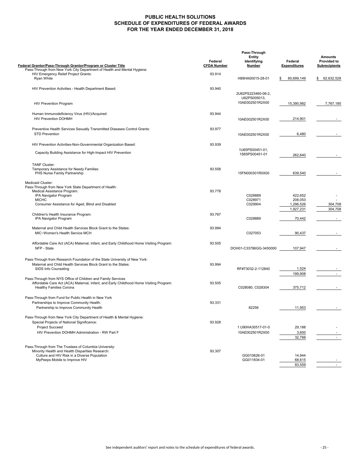#### **PUBLIC HEALTH SOLUTIONS SCHEDULE OF EXPENDITURES OF FEDERAL AWARDS FOR THE YEAR ENDED DECEMBER 31, 2018**

|                                                                                                                                                                                          | Federal            | Pass-Through<br>Entity<br>Identifying | Federal                | <b>Amounts</b><br><b>Provided to</b> |
|------------------------------------------------------------------------------------------------------------------------------------------------------------------------------------------|--------------------|---------------------------------------|------------------------|--------------------------------------|
| Federal Grantor/Pass-Through Grantor/Program or Cluster Title                                                                                                                            | <b>CFDA Number</b> | <b>Number</b>                         | <b>Expenditures</b>    | <b>Subrecipients</b>                 |
| Pass-Through from New York City Department of Health and Mental Hygiene:<br>HIV Emergency Relief Project Grants:<br>Ryan White                                                           | 93.914             | H89HA00015-28-01                      | 85,699,149<br>S        | 62,632,528<br>\$                     |
| HIV Prevention Activities - Health Department Based:                                                                                                                                     | 93.940             | 2U62PS223460-06-2,<br>U62PS005013,    |                        |                                      |
| <b>HIV Prevention Program</b>                                                                                                                                                            |                    | 10AE002501R2X00                       | 15,390,982             | 7,767,185                            |
| Human Immunodeficiency Virus (HIV)/Acquired:<br><b>HIV Prevention DOHMH</b>                                                                                                              | 93.944             | 10AE002501R2X00                       | 214,901                |                                      |
| Preventive Health Services Sexually Transmitted Diseases Control Grants:                                                                                                                 | 93.977             |                                       |                        |                                      |
| <b>STD Prevention</b>                                                                                                                                                                    |                    | 10AE002501R2X00                       | 6,480                  |                                      |
| HIV Prevention Activities-Non-Governmental Organization Based:                                                                                                                           | 93.939             |                                       |                        |                                      |
| Capacity Building Assistance for High-Impact HIV Prevention                                                                                                                              |                    | 1U65PS00451-01,<br>1S65PS00451-01     | 262,640                |                                      |
| <b>TANF Cluster:</b>                                                                                                                                                                     |                    |                                       |                        |                                      |
| Temporary Assistance for Needy Families:<br>PHS Nurse Family Partnership                                                                                                                 | 93.558             | 15FN000301R0X00                       | 639,540                |                                      |
| Medicaid Cluster:<br>Pass-Through from New York State Department of Health:                                                                                                              |                    |                                       |                        |                                      |
| Medical Assistance Program:                                                                                                                                                              | 93.778             |                                       |                        |                                      |
| IPA Navigator Program                                                                                                                                                                    |                    | C028889                               | 422,652                |                                      |
| <b>MICHC</b>                                                                                                                                                                             |                    | C028971                               | 208,053                |                                      |
| Consumer Assistance for Aged, Blind and Disabled                                                                                                                                         |                    | C029904                               | 1,296,526<br>1,927,231 | 304,708<br>304,708                   |
| Children's Health Insurance Program:<br>IPA Navigator Program                                                                                                                            | 93.767             | C028889                               | 70,442                 |                                      |
|                                                                                                                                                                                          |                    |                                       |                        |                                      |
| Maternal and Child Health Services Block Grant to the States:<br>MIC-Women's Health Service MCH                                                                                          | 93.994             | C027053                               | 90,437                 |                                      |
| Affordable Care Act (ACA) Maternal, Infant, and Early Childhood Home Visiting Program:                                                                                                   | 93.505             |                                       |                        |                                      |
| NFP - State                                                                                                                                                                              |                    | DOH01-C33786GG-3450000                | 107,947                |                                      |
| Pass-Through from Research Foundation of the State University of New York:                                                                                                               | 93.994             |                                       |                        |                                      |
| Maternal and Child Health Services Block Grant to the States:<br>SIDS Info Counseling                                                                                                    |                    | RF#73032-2-112840                     | 1,524                  |                                      |
|                                                                                                                                                                                          |                    |                                       | 199,908                | $\sim$                               |
| Pass-Through from NYS Office of Children and Family Services<br>Affordable Care Act (ACA) Maternal, Infant, and Early Childhood Home Visiting Program:<br><b>Healthy Families Corona</b> | 93.505             | C028080, C028304                      | 375,712                |                                      |
| Pass-Through from Fund for Public Health in New York                                                                                                                                     |                    |                                       |                        |                                      |
| Partnerships to Improve Community Health:                                                                                                                                                | 93.331             |                                       |                        |                                      |
| Partnership to Improve Community Health                                                                                                                                                  |                    | 82256                                 | 11,953                 |                                      |
| Pass-Through from New York City Department of Health & Mental Hygiene:                                                                                                                   |                    |                                       |                        |                                      |
| Special Projects of National Significance:                                                                                                                                               | 93.928             |                                       |                        |                                      |
| <b>Project Succeed</b>                                                                                                                                                                   |                    | 1 U90HA30517-01-0                     | 29,188                 |                                      |
| HIV Prevention DOHMH Administration - RW Part F                                                                                                                                          |                    | 10AE002501R2X00                       | 3,600<br>32,788        | $\sim$                               |
|                                                                                                                                                                                          |                    |                                       |                        |                                      |
| Pass-Through from The Trustees of Columbia University:<br>Minority Health and Health Disparities Research:                                                                               | 93.307             |                                       |                        |                                      |
| Culture and HIV Risk in a Diverse Population                                                                                                                                             |                    | GG010626-01                           | 14,944                 |                                      |
| MyPeeps Mobile to Improve HIV                                                                                                                                                            |                    | GG011834-01                           | 68,615                 |                                      |
|                                                                                                                                                                                          |                    |                                       | 83,559                 |                                      |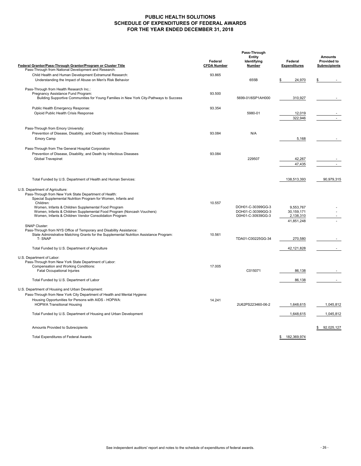#### **PUBLIC HEALTH SOLUTIONS SCHEDULE OF EXPENDITURES OF FEDERAL AWARDS FOR THE YEAR ENDED DECEMBER 31, 2018**

|                                                                                                                 | Pass-Through       |                       |                     |                                      |
|-----------------------------------------------------------------------------------------------------------------|--------------------|-----------------------|---------------------|--------------------------------------|
|                                                                                                                 | Federal            | Entity<br>Identifying | Federal             | <b>Amounts</b><br><b>Provided to</b> |
| Federal Grantor/Pass-Through Grantor/Program or Cluster Title                                                   | <b>CFDA Number</b> | <b>Number</b>         | <b>Expenditures</b> | <b>Subrecipients</b>                 |
| Pass-Through from National Development and Research:<br>Child Health and Human Development Extramural Research: | 93.865             |                       |                     |                                      |
| Understanding the Impact of Abuse on Men's Risk Behavior                                                        |                    | 655B                  | 24,970<br>S         |                                      |
| Pass-Through from Health Research Inc.:                                                                         |                    |                       |                     |                                      |
| Pregnancy Assistance Fund Program:                                                                              | 93.500             |                       |                     |                                      |
| Building Supportive Communities for Young Families in New York City-Pathways to Success                         |                    | 5699-01/6SP1AH000     | 310,927             |                                      |
| Public Health Emergency Response:                                                                               | 93.354             |                       |                     |                                      |
| Opioid Public Health Crisis Response                                                                            |                    | 5980-01               | 12,019              |                                      |
|                                                                                                                 |                    |                       | 322,946             |                                      |
| Pass-Through from Emory University:                                                                             |                    |                       |                     |                                      |
| Prevention of Disease, Disability, and Death by Infectious Diseases:                                            | 93.084             | N/A                   |                     |                                      |
| <b>Emory Camp</b>                                                                                               |                    |                       | 5,168               |                                      |
| Pass-Through from The General Hospital Corporation                                                              |                    |                       |                     |                                      |
| Prevention of Disease, Disability, and Death by Infectious Diseases                                             | 93.084             |                       |                     |                                      |
| <b>Global Travepinet</b>                                                                                        |                    | 229507                | 42,267              |                                      |
|                                                                                                                 |                    |                       | 47,435              | $\sim$                               |
| Total Funded by U.S. Department of Health and Human Services:                                                   |                    |                       | 138,513,393         | 90,979,315                           |
| U.S. Department of Agriculture:                                                                                 |                    |                       |                     |                                      |
| Pass-Through from New York State Department of Health:                                                          |                    |                       |                     |                                      |
| Special Supplemental Nutrition Program for Women, Infants and                                                   |                    |                       |                     |                                      |
| Children:<br>Women, Infants & Children Supplemental Food Program                                                | 10.557             | DOH01-C-30399GG-3     | 9,553,767           |                                      |
| Women, Infants & Children Supplemental Food Program (Noncash Vouchers)                                          |                    | DOH01-C-30399GG-3     | 30, 159, 171        |                                      |
| Women, Infants & Children Vendor Consolidation Program                                                          |                    | D0H01-C-30939GG-3     | 2,138,310           |                                      |
|                                                                                                                 |                    |                       | 41,851,248          |                                      |
| <b>SNAP Cluster:</b><br>Pass-Through from NYS Office of Temporary and Disability Assistance:                    |                    |                       |                     |                                      |
| State Administrative Matching Grants for the Supplemental Nutrition Assistance Program:                         | 10.561             |                       |                     |                                      |
| <b>T-SNAP</b>                                                                                                   |                    | TDA01-C00225GG-34     | 270,580             |                                      |
| Total Funded by U.S. Department of Agriculture                                                                  |                    |                       | 42,121,828          |                                      |
|                                                                                                                 |                    |                       |                     |                                      |
| U.S. Department of Labor:<br>Pass-Through from New York State Department of Labor:                              |                    |                       |                     |                                      |
| <b>Compensation and Working Conditions:</b>                                                                     | 17.005             |                       |                     |                                      |
| Fatal Occupational Injuries                                                                                     |                    | C015071               | 86,138              |                                      |
| Total Funded by U.S. Department of Labor                                                                        |                    |                       | 86,138              |                                      |
| U.S. Department of Housing and Urban Development:                                                               |                    |                       |                     |                                      |
| Pass-Through from New York City Department of Health and Mental Hygiene:                                        |                    |                       |                     |                                      |
| Housing Opportunities for Persons with AIDS - HOPWA:<br><b>HOPWA Transitional Housing</b>                       | 14.241             | 2U62PS223460-06-2     | 1,648,615           | 1,045,812                            |
| Total Funded by U.S. Department of Housing and Urban Development                                                |                    |                       | 1,648,615           | 1,045,812                            |
|                                                                                                                 |                    |                       |                     |                                      |
| Amounts Provided to Subrecipients                                                                               |                    |                       |                     | 92,025,127<br>\$                     |
| Total Expenditures of Federal Awards                                                                            |                    |                       | \$182,369,974       |                                      |
|                                                                                                                 |                    |                       |                     |                                      |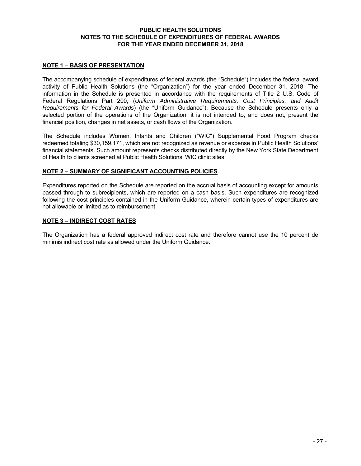#### **PUBLIC HEALTH SOLUTIONS NOTES TO THE SCHEDULE OF EXPENDITURES OF FEDERAL AWARDS FOR THE YEAR ENDED DECEMBER 31, 2018**

#### **NOTE 1 – BASIS OF PRESENTATION**

The accompanying schedule of expenditures of federal awards (the "Schedule") includes the federal award activity of Public Health Solutions (the "Organization") for the year ended December 31, 2018. The information in the Schedule is presented in accordance with the requirements of Title 2 U.S. Code of Federal Regulations Part 200, (*Uniform Administrative Requirements, Cost Principles, and Audit Requirements for Federal Awards*) (the "Uniform Guidance"). Because the Schedule presents only a selected portion of the operations of the Organization, it is not intended to, and does not, present the financial position, changes in net assets, or cash flows of the Organization.

The Schedule includes Women, Infants and Children ("WIC") Supplemental Food Program checks redeemed totaling \$30,159,171, which are not recognized as revenue or expense in Public Health Solutions' financial statements. Such amount represents checks distributed directly by the New York State Department of Health to clients screened at Public Health Solutions' WIC clinic sites.

#### **NOTE 2 – SUMMARY OF SIGNIFICANT ACCOUNTING POLICIES**

Expenditures reported on the Schedule are reported on the accrual basis of accounting except for amounts passed through to subrecipients, which are reported on a cash basis. Such expenditures are recognized following the cost principles contained in the Uniform Guidance, wherein certain types of expenditures are not allowable or limited as to reimbursement.

#### **NOTE 3 – INDIRECT COST RATES**

The Organization has a federal approved indirect cost rate and therefore cannot use the 10 percent de minimis indirect cost rate as allowed under the Uniform Guidance.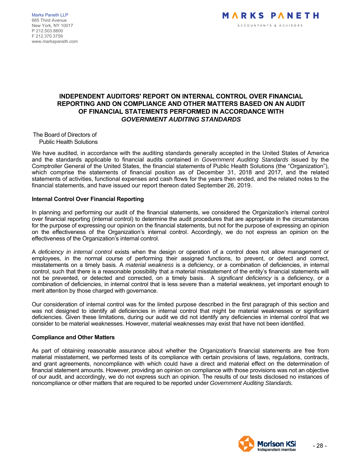Marks Paneth LLP 685 Third Avenue New York, NY 10017 P 212.503.8800 F 212.370.3759 www.markspaneth.com

# **INDEPENDENT AUDITORS' REPORT ON INTERNAL CONTROL OVER FINANCIAL REPORTING AND ON COMPLIANCE AND OTHER MATTERS BASED ON AN AUDIT OF FINANCIAL STATEMENTS PERFORMED IN ACCORDANCE WITH**  *GOVERNMENT AUDITING STANDARDS*

The Board of Directors of Public Health Solutions

We have audited, in accordance with the auditing standards generally accepted in the United States of America and the standards applicable to financial audits contained in *Government Auditing Standards* issued by the Comptroller General of the United States, the financial statements of Public Health Solutions (the "Organization"), which comprise the statements of financial position as of December 31, 2018 and 2017, and the related statements of activities, functional expenses and cash flows for the years then ended, and the related notes to the financial statements, and have issued our report thereon dated September 26, 2019.

#### **Internal Control Over Financial Reporting**

In planning and performing our audit of the financial statements, we considered the Organization's internal control over financial reporting (internal control) to determine the audit procedures that are appropriate in the circumstances for the purpose of expressing our opinion on the financial statements, but not for the purpose of expressing an opinion on the effectiveness of the Organization's internal control. Accordingly, we do not express an opinion on the effectiveness of the Organization's internal control.

A *deficiency in internal control* exists when the design or operation of a control does not allow management or employees, in the normal course of performing their assigned functions, to prevent, or detect and correct, misstatements on a timely basis. A *material weakness* is a deficiency, or a combination of deficiencies, in internal control, such that there is a reasonable possibility that a material misstatement of the entity's financial statements will not be prevented, or detected and corrected, on a timely basis. A *significant deficiency* is a deficiency, or a combination of deficiencies, in internal control that is less severe than a material weakness, yet important enough to merit attention by those charged with governance.

Our consideration of internal control was for the limited purpose described in the first paragraph of this section and was not designed to identify all deficiencies in internal control that might be material weaknesses or significant deficiencies. Given these limitations, during our audit we did not identify any deficiencies in internal control that we consider to be material weaknesses. However, material weaknesses may exist that have not been identified.

#### **Compliance and Other Matters**

As part of obtaining reasonable assurance about whether the Organization's financial statements are free from material misstatement, we performed tests of its compliance with certain provisions of laws, regulations, contracts, and grant agreements, noncompliance with which could have a direct and material effect on the determination of financial statement amounts. However, providing an opinion on compliance with those provisions was not an objective of our audit, and accordingly, we do not express such an opinion. The results of our tests disclosed no instances of noncompliance or other matters that are required to be reported under *Government Auditing Standards.*

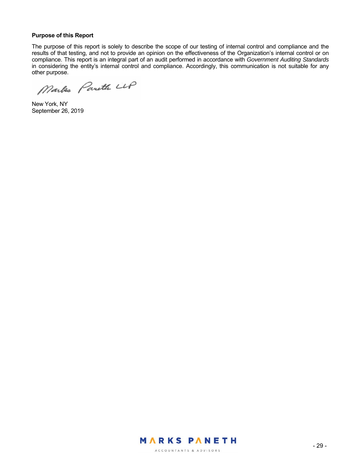#### **Purpose of this Report**

The purpose of this report is solely to describe the scope of our testing of internal control and compliance and the results of that testing, and not to provide an opinion on the effectiveness of the Organization's internal control or on compliance. This report is an integral part of an audit performed in accordance with *Government Auditing Standards* in considering the entity's internal control and compliance. Accordingly, this communication is not suitable for any other purpose.

Marks Pareth LLP

New York, NY September 26, 2019

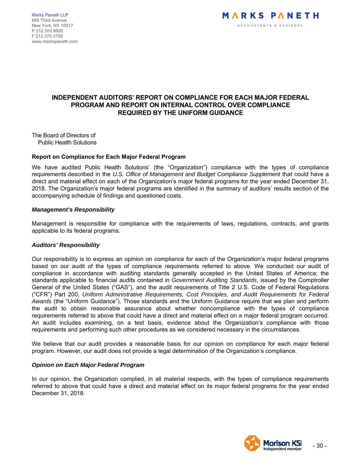Marks Paneth LLP 685 Third Avenue New York, NY 10017 P 212.503.8800 F 212.370.3759 www.markspaneth.com



# **INDEPENDENT AUDITORS' REPORT ON COMPLIANCE FOR EACH MAJOR FEDERAL PROGRAM AND REPORT ON INTERNAL CONTROL OVER COMPLIANCE REQUIRED BY THE UNIFORM GUIDANCE**

The Board of Directors of Public Health Solutions

#### **Report on Compliance for Each Major Federal Program**

We have audited Public Health Solutions' (the "Organization") compliance with the types of compliance requirements described in the *U.S. Office of Management and Budget Compliance Supplement* that could have a direct and material effect on each of the Organization's major federal programs for the year ended December 31, 2018. The Organization's major federal programs are identified in the summary of auditors' results section of the accompanying schedule of findings and questioned costs.

#### *Management's Responsibility*

Management is responsible for compliance with the requirements of laws, regulations, contracts, and grants applicable to its federal programs.

#### *Auditors' Responsibility*

Our responsibility is to express an opinion on compliance for each of the Organization's major federal programs based on our audit of the types of compliance requirements referred to above. We conducted our audit of compliance in accordance with auditing standards generally accepted in the United States of America; the standards applicable to financial audits contained in *Government Auditing Standards*, issued by the Comptroller General of the United States ("GAS"), and the audit requirements of Title 2 U.S. Code of Federal Regulations ("CFR") Part 200, *Uniform Administrative Requirements, Cost Principles, and Audit Requirements for Federal Awards* (the "Uniform Guidance"). Those standards and the Uniform Guidance require that we plan and perform the audit to obtain reasonable assurance about whether noncompliance with the types of compliance requirements referred to above that could have a direct and material effect on a major federal program occurred. An audit includes examining, on a test basis, evidence about the Organization's compliance with those requirements and performing such other procedures as we considered necessary in the circumstances.

We believe that our audit provides a reasonable basis for our opinion on compliance for each major federal program. However, our audit does not provide a legal determination of the Organization's compliance.

#### *Opinion on Each Major Federal Program*

In our opinion, the Organization complied, in all material respects, with the types of compliance requirements referred to above that could have a direct and material effect on its major federal programs for the year ended December 31, 2018.

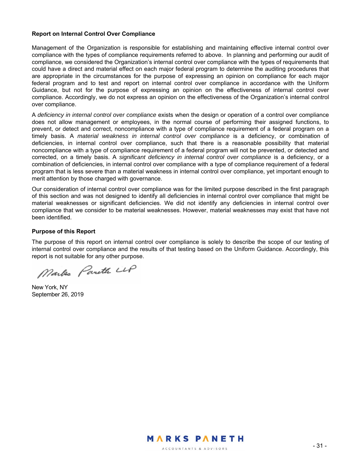#### **Report on Internal Control Over Compliance**

Management of the Organization is responsible for establishing and maintaining effective internal control over compliance with the types of compliance requirements referred to above. In planning and performing our audit of compliance, we considered the Organization's internal control over compliance with the types of requirements that could have a direct and material effect on each major federal program to determine the auditing procedures that are appropriate in the circumstances for the purpose of expressing an opinion on compliance for each major federal program and to test and report on internal control over compliance in accordance with the Uniform Guidance, but not for the purpose of expressing an opinion on the effectiveness of internal control over compliance. Accordingly, we do not express an opinion on the effectiveness of the Organization's internal control over compliance.

A *deficiency in internal control over compliance* exists when the design or operation of a control over compliance does not allow management or employees, in the normal course of performing their assigned functions, to prevent, or detect and correct, noncompliance with a type of compliance requirement of a federal program on a timely basis. A *material weakness in internal control over compliance* is a deficiency, or combination of deficiencies, in internal control over compliance, such that there is a reasonable possibility that material noncompliance with a type of compliance requirement of a federal program will not be prevented, or detected and corrected, on a timely basis. A *significant deficiency in internal control over compliance* is a deficiency, or a combination of deficiencies, in internal control over compliance with a type of compliance requirement of a federal program that is less severe than a material weakness in internal control over compliance, yet important enough to merit attention by those charged with governance.

Our consideration of internal control over compliance was for the limited purpose described in the first paragraph of this section and was not designed to identify all deficiencies in internal control over compliance that might be material weaknesses or significant deficiencies. We did not identify any deficiencies in internal control over compliance that we consider to be material weaknesses. However, material weaknesses may exist that have not been identified.

#### **Purpose of this Report**

The purpose of this report on internal control over compliance is solely to describe the scope of our testing of internal control over compliance and the results of that testing based on the Uniform Guidance. Accordingly, this report is not suitable for any other purpose.

Marke Pareth LLP

New York, NY September 26, 2019

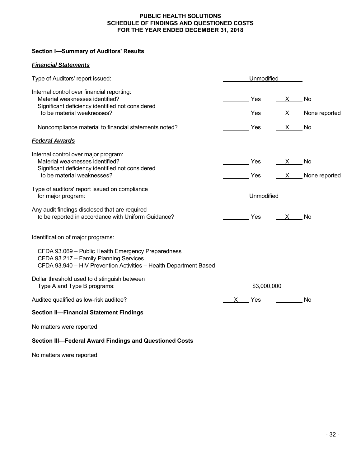## **PUBLIC HEALTH SOLUTIONS SCHEDULE OF FINDINGS AND QUESTIONED COSTS FOR THE YEAR ENDED DECEMBER 31, 2018**

# **Section I—Summary of Auditors' Results**

# *Financial Statements*

| Type of Auditors' report issued:                                                                                                                                  | Unmodified |             |     |               |
|-------------------------------------------------------------------------------------------------------------------------------------------------------------------|------------|-------------|-----|---------------|
| Internal control over financial reporting:<br>Material weaknesses identified?<br>Significant deficiency identified not considered                                 |            | Yes         | X.  | No            |
| to be material weaknesses?                                                                                                                                        |            | Yes         | X.  | None reported |
| Noncompliance material to financial statements noted?                                                                                                             |            | Yes         | X — | No            |
| <b>Federal Awards</b>                                                                                                                                             |            |             |     |               |
| Internal control over major program:<br>Material weaknesses identified?<br>Significant deficiency identified not considered                                       |            | Yes         | X — | No            |
| to be material weaknesses?                                                                                                                                        |            | Yes         | X.  | None reported |
| Type of auditors' report issued on compliance<br>for major program:                                                                                               |            | Unmodified  |     |               |
| Any audit findings disclosed that are required<br>to be reported in accordance with Uniform Guidance?                                                             |            | Yes         | X.  | No            |
| Identification of major programs:                                                                                                                                 |            |             |     |               |
| CFDA 93.069 - Public Health Emergency Preparedness<br>CFDA 93.217 - Family Planning Services<br>CFDA 93.940 - HIV Prevention Activities - Health Department Based |            |             |     |               |
| Dollar threshold used to distinguish between<br>Type A and Type B programs:                                                                                       |            | \$3,000,000 |     |               |
| Auditee qualified as low-risk auditee?                                                                                                                            |            | X Yes       |     | No            |
| <b>Section II-Financial Statement Findings</b>                                                                                                                    |            |             |     |               |

No matters were reported.

# **Section III—Federal Award Findings and Questioned Costs**

No matters were reported.